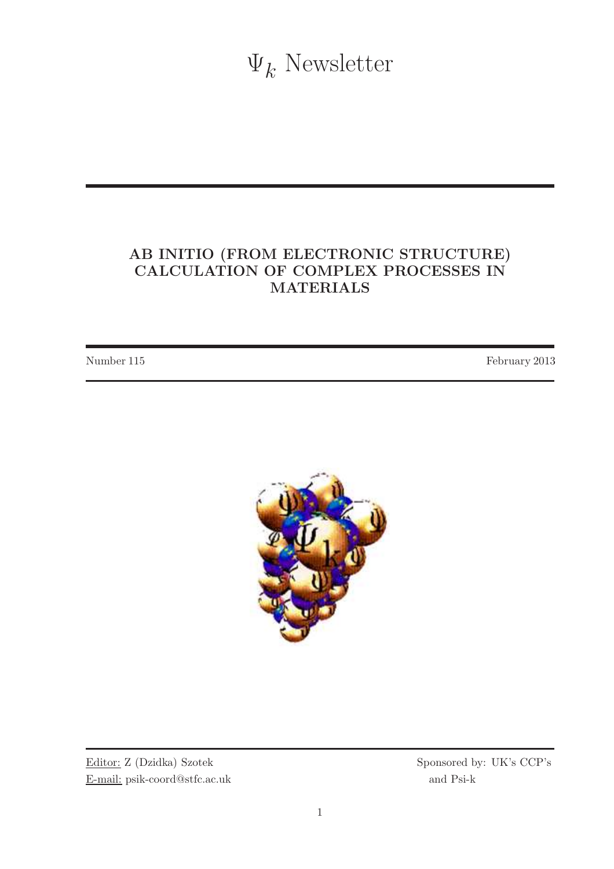$\Psi_k$  Newsletter

## AB INITIO (FROM ELECTRONIC STRUCTURE) CALCULATION OF COMPLEX PROCESSES IN MATERIALS

Number 115 February 2013



Editor: Z (Dzidka) Szotek Sponsored by: UK's CCP's E-mail: psik-coord@stfc.ac.uk and Psi-k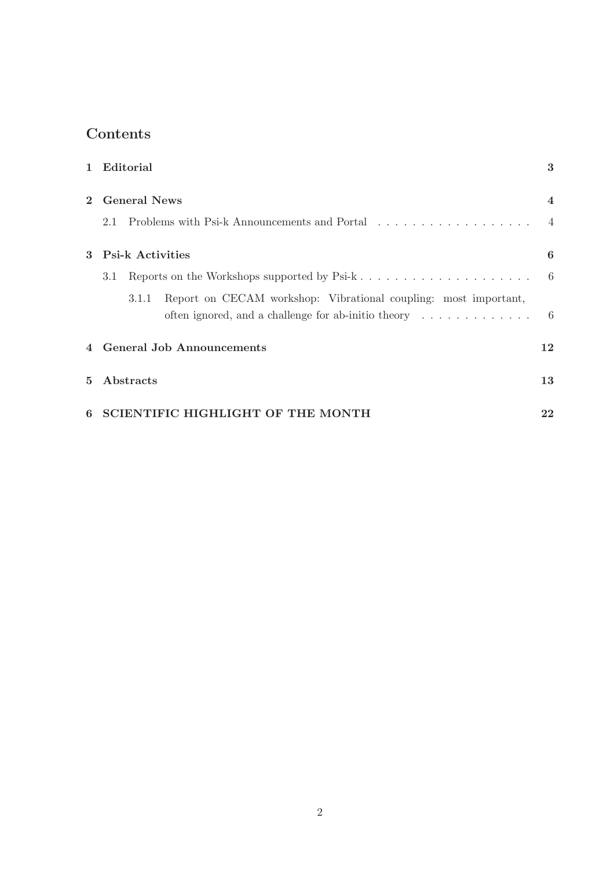# Contents

|                | 1 Editorial                                                                                                                                               | 3                        |
|----------------|-----------------------------------------------------------------------------------------------------------------------------------------------------------|--------------------------|
| $\overline{2}$ | <b>General News</b>                                                                                                                                       | $\overline{\mathcal{A}}$ |
|                | Problems with Psi-k Announcements and Portal<br>2.1                                                                                                       | $\sim$ 4                 |
| $\mathbf{3}$   | <b>Psi-k Activities</b>                                                                                                                                   | 6                        |
|                | 3.1                                                                                                                                                       |                          |
|                | Report on CECAM workshop: Vibrational coupling: most important,<br>3.1.1<br>often ignored, and a challenge for ab-initio theory $\dots \dots \dots \dots$ | - 6                      |
|                | 4 General Job Announcements                                                                                                                               | 12                       |
| 5.             | Abstracts                                                                                                                                                 | 13                       |
| 6              | <b>SCIENTIFIC HIGHLIGHT OF THE MONTH</b>                                                                                                                  | 22                       |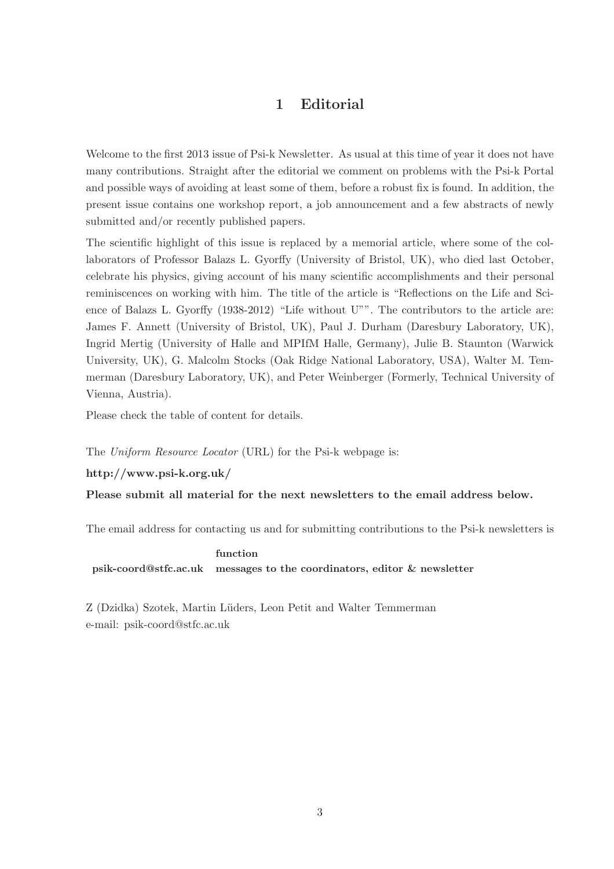## 1 Editorial

Welcome to the first 2013 issue of Psi-k Newsletter. As usual at this time of year it does not have many contributions. Straight after the editorial we comment on problems with the Psi-k Portal and possible ways of avoiding at least some of them, before a robust fix is found. In addition, the present issue contains one workshop report, a job announcement and a few abstracts of newly submitted and/or recently published papers.

The scientific highlight of this issue is replaced by a memorial article, where some of the collaborators of Professor Balazs L. Gyorffy (University of Bristol, UK), who died last October, celebrate his physics, giving account of his many scientific accomplishments and their personal reminiscences on working with him. The title of the article is "Reflections on the Life and Science of Balazs L. Gyorffy (1938-2012) "Life without U"". The contributors to the article are: James F. Annett (University of Bristol, UK), Paul J. Durham (Daresbury Laboratory, UK), Ingrid Mertig (University of Halle and MPIfM Halle, Germany), Julie B. Staunton (Warwick University, UK), G. Malcolm Stocks (Oak Ridge National Laboratory, USA), Walter M. Temmerman (Daresbury Laboratory, UK), and Peter Weinberger (Formerly, Technical University of Vienna, Austria).

Please check the table of content for details.

The Uniform Resource Locator (URL) for the Psi-k webpage is:

#### http://www.psi-k.org.uk/

#### Please submit all material for the next newsletters to the email address below.

The email address for contacting us and for submitting contributions to the Psi-k newsletters is

### function psik-coord@stfc.ac.uk messages to the coordinators, editor & newsletter

Z (Dzidka) Szotek, Martin L¨uders, Leon Petit and Walter Temmerman e-mail: psik-coord@stfc.ac.uk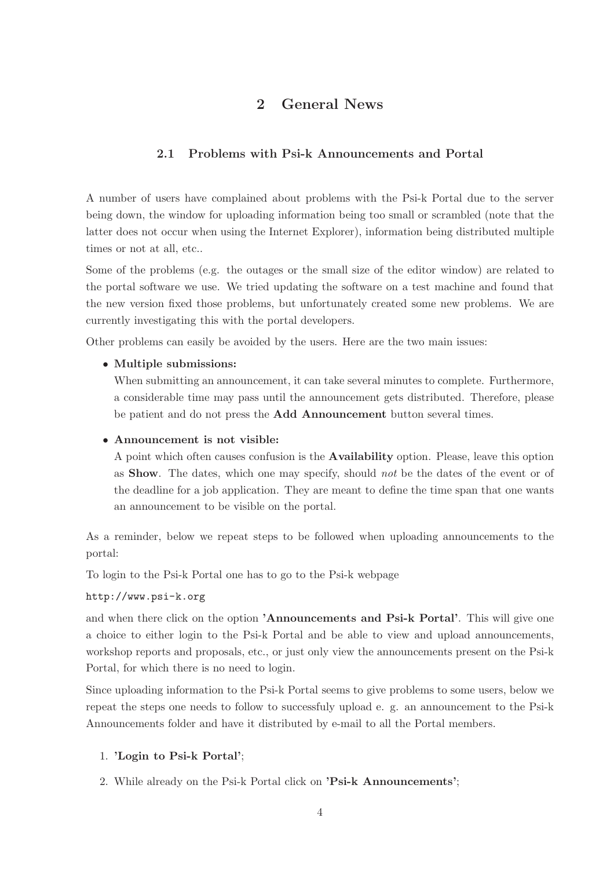## 2 General News

### 2.1 Problems with Psi-k Announcements and Portal

A number of users have complained about problems with the Psi-k Portal due to the server being down, the window for uploading information being too small or scrambled (note that the latter does not occur when using the Internet Explorer), information being distributed multiple times or not at all, etc..

Some of the problems (e.g. the outages or the small size of the editor window) are related to the portal software we use. We tried updating the software on a test machine and found that the new version fixed those problems, but unfortunately created some new problems. We are currently investigating this with the portal developers.

Other problems can easily be avoided by the users. Here are the two main issues:

#### • Multiple submissions:

When submitting an announcement, it can take several minutes to complete. Furthermore, a considerable time may pass until the announcement gets distributed. Therefore, please be patient and do not press the Add Announcement button several times.

#### • Announcement is not visible:

A point which often causes confusion is the Availability option. Please, leave this option as Show. The dates, which one may specify, should not be the dates of the event or of the deadline for a job application. They are meant to define the time span that one wants an announcement to be visible on the portal.

As a reminder, below we repeat steps to be followed when uploading announcements to the portal:

To login to the Psi-k Portal one has to go to the Psi-k webpage

#### http://www.psi-k.org

and when there click on the option 'Announcements and Psi-k Portal'. This will give one a choice to either login to the Psi-k Portal and be able to view and upload announcements, workshop reports and proposals, etc., or just only view the announcements present on the Psi-k Portal, for which there is no need to login.

Since uploading information to the Psi-k Portal seems to give problems to some users, below we repeat the steps one needs to follow to successfuly upload e. g. an announcement to the Psi-k Announcements folder and have it distributed by e-mail to all the Portal members.

#### 1. 'Login to Psi-k Portal';

2. While already on the Psi-k Portal click on 'Psi-k Announcements';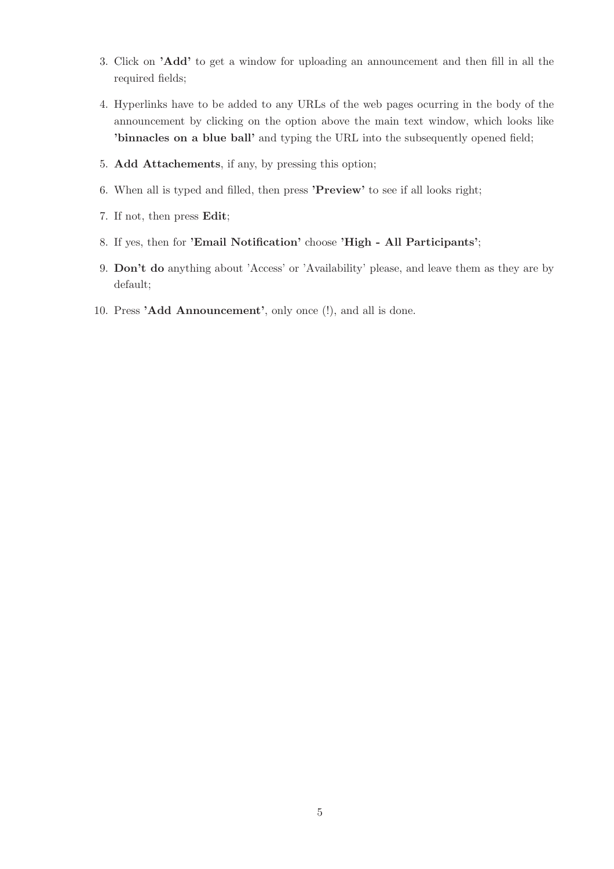- 3. Click on 'Add' to get a window for uploading an announcement and then fill in all the required fields;
- 4. Hyperlinks have to be added to any URLs of the web pages ocurring in the body of the announcement by clicking on the option above the main text window, which looks like 'binnacles on a blue ball' and typing the URL into the subsequently opened field;
- 5. Add Attachements, if any, by pressing this option;
- 6. When all is typed and filled, then press 'Preview' to see if all looks right;
- 7. If not, then press Edit;
- 8. If yes, then for 'Email Notification' choose 'High All Participants';
- 9. Don't do anything about 'Access' or 'Availability' please, and leave them as they are by default;
- 10. Press 'Add Announcement', only once (!), and all is done.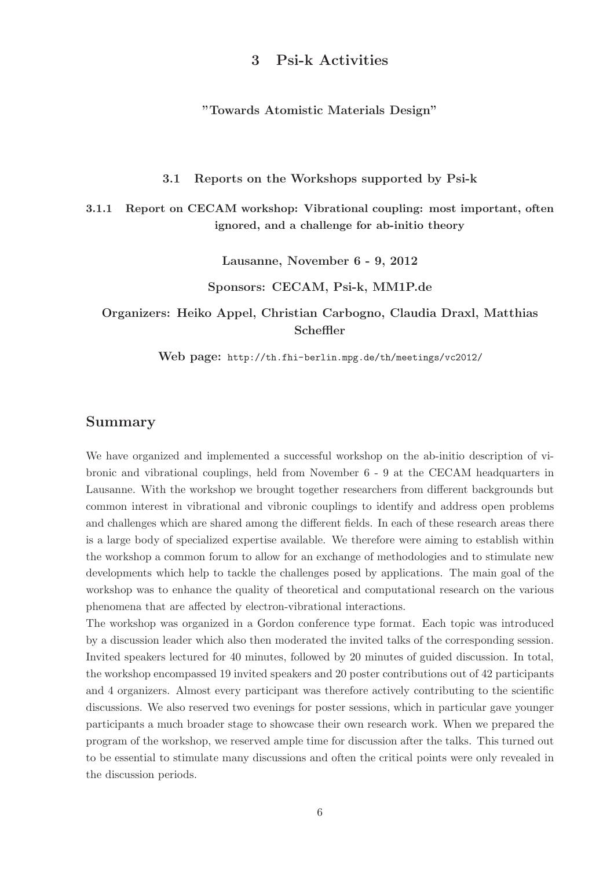### 3 Psi-k Activities

"Towards Atomistic Materials Design"

3.1 Reports on the Workshops supported by Psi-k

3.1.1 Report on CECAM workshop: Vibrational coupling: most important, often ignored, and a challenge for ab-initio theory

Lausanne, November 6 - 9, 2012

Sponsors: CECAM, Psi-k, MM1P.de

Organizers: Heiko Appel, Christian Carbogno, Claudia Draxl, Matthias Scheffler

Web page: http://th.fhi-berlin.mpg.de/th/meetings/vc2012/

### Summary

We have organized and implemented a successful workshop on the ab-initio description of vibronic and vibrational couplings, held from November 6 - 9 at the CECAM headquarters in Lausanne. With the workshop we brought together researchers from different backgrounds but common interest in vibrational and vibronic couplings to identify and address open problems and challenges which are shared among the different fields. In each of these research areas there is a large body of specialized expertise available. We therefore were aiming to establish within the workshop a common forum to allow for an exchange of methodologies and to stimulate new developments which help to tackle the challenges posed by applications. The main goal of the workshop was to enhance the quality of theoretical and computational research on the various phenomena that are affected by electron-vibrational interactions.

The workshop was organized in a Gordon conference type format. Each topic was introduced by a discussion leader which also then moderated the invited talks of the corresponding session. Invited speakers lectured for 40 minutes, followed by 20 minutes of guided discussion. In total, the workshop encompassed 19 invited speakers and 20 poster contributions out of 42 participants and 4 organizers. Almost every participant was therefore actively contributing to the scientific discussions. We also reserved two evenings for poster sessions, which in particular gave younger participants a much broader stage to showcase their own research work. When we prepared the program of the workshop, we reserved ample time for discussion after the talks. This turned out to be essential to stimulate many discussions and often the critical points were only revealed in the discussion periods.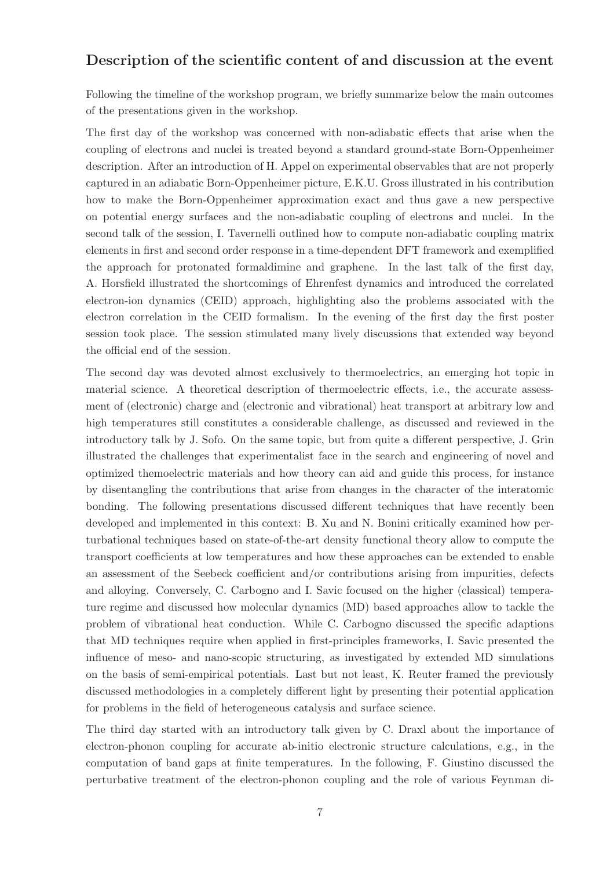### Description of the scientific content of and discussion at the event

Following the timeline of the workshop program, we briefly summarize below the main outcomes of the presentations given in the workshop.

The first day of the workshop was concerned with non-adiabatic effects that arise when the coupling of electrons and nuclei is treated beyond a standard ground-state Born-Oppenheimer description. After an introduction of H. Appel on experimental observables that are not properly captured in an adiabatic Born-Oppenheimer picture, E.K.U. Gross illustrated in his contribution how to make the Born-Oppenheimer approximation exact and thus gave a new perspective on potential energy surfaces and the non-adiabatic coupling of electrons and nuclei. In the second talk of the session, I. Tavernelli outlined how to compute non-adiabatic coupling matrix elements in first and second order response in a time-dependent DFT framework and exemplified the approach for protonated formaldimine and graphene. In the last talk of the first day, A. Horsfield illustrated the shortcomings of Ehrenfest dynamics and introduced the correlated electron-ion dynamics (CEID) approach, highlighting also the problems associated with the electron correlation in the CEID formalism. In the evening of the first day the first poster session took place. The session stimulated many lively discussions that extended way beyond the official end of the session.

The second day was devoted almost exclusively to thermoelectrics, an emerging hot topic in material science. A theoretical description of thermoelectric effects, i.e., the accurate assessment of (electronic) charge and (electronic and vibrational) heat transport at arbitrary low and high temperatures still constitutes a considerable challenge, as discussed and reviewed in the introductory talk by J. Sofo. On the same topic, but from quite a different perspective, J. Grin illustrated the challenges that experimentalist face in the search and engineering of novel and optimized themoelectric materials and how theory can aid and guide this process, for instance by disentangling the contributions that arise from changes in the character of the interatomic bonding. The following presentations discussed different techniques that have recently been developed and implemented in this context: B. Xu and N. Bonini critically examined how perturbational techniques based on state-of-the-art density functional theory allow to compute the transport coefficients at low temperatures and how these approaches can be extended to enable an assessment of the Seebeck coefficient and/or contributions arising from impurities, defects and alloying. Conversely, C. Carbogno and I. Savic focused on the higher (classical) temperature regime and discussed how molecular dynamics (MD) based approaches allow to tackle the problem of vibrational heat conduction. While C. Carbogno discussed the specific adaptions that MD techniques require when applied in first-principles frameworks, I. Savic presented the influence of meso- and nano-scopic structuring, as investigated by extended MD simulations on the basis of semi-empirical potentials. Last but not least, K. Reuter framed the previously discussed methodologies in a completely different light by presenting their potential application for problems in the field of heterogeneous catalysis and surface science.

The third day started with an introductory talk given by C. Draxl about the importance of electron-phonon coupling for accurate ab-initio electronic structure calculations, e.g., in the computation of band gaps at finite temperatures. In the following, F. Giustino discussed the perturbative treatment of the electron-phonon coupling and the role of various Feynman di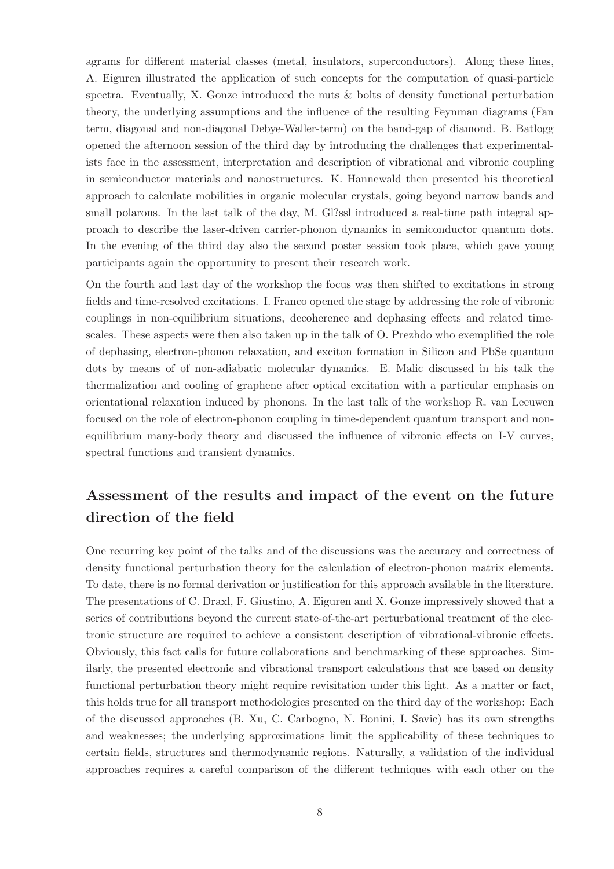agrams for different material classes (metal, insulators, superconductors). Along these lines, A. Eiguren illustrated the application of such concepts for the computation of quasi-particle spectra. Eventually, X. Gonze introduced the nuts & bolts of density functional perturbation theory, the underlying assumptions and the influence of the resulting Feynman diagrams (Fan term, diagonal and non-diagonal Debye-Waller-term) on the band-gap of diamond. B. Batlogg opened the afternoon session of the third day by introducing the challenges that experimentalists face in the assessment, interpretation and description of vibrational and vibronic coupling in semiconductor materials and nanostructures. K. Hannewald then presented his theoretical approach to calculate mobilities in organic molecular crystals, going beyond narrow bands and small polarons. In the last talk of the day, M. Gl?ssl introduced a real-time path integral approach to describe the laser-driven carrier-phonon dynamics in semiconductor quantum dots. In the evening of the third day also the second poster session took place, which gave young participants again the opportunity to present their research work.

On the fourth and last day of the workshop the focus was then shifted to excitations in strong fields and time-resolved excitations. I. Franco opened the stage by addressing the role of vibronic couplings in non-equilibrium situations, decoherence and dephasing effects and related timescales. These aspects were then also taken up in the talk of O. Prezhdo who exemplified the role of dephasing, electron-phonon relaxation, and exciton formation in Silicon and PbSe quantum dots by means of of non-adiabatic molecular dynamics. E. Malic discussed in his talk the thermalization and cooling of graphene after optical excitation with a particular emphasis on orientational relaxation induced by phonons. In the last talk of the workshop R. van Leeuwen focused on the role of electron-phonon coupling in time-dependent quantum transport and nonequilibrium many-body theory and discussed the influence of vibronic effects on I-V curves, spectral functions and transient dynamics.

# Assessment of the results and impact of the event on the future direction of the field

One recurring key point of the talks and of the discussions was the accuracy and correctness of density functional perturbation theory for the calculation of electron-phonon matrix elements. To date, there is no formal derivation or justification for this approach available in the literature. The presentations of C. Draxl, F. Giustino, A. Eiguren and X. Gonze impressively showed that a series of contributions beyond the current state-of-the-art perturbational treatment of the electronic structure are required to achieve a consistent description of vibrational-vibronic effects. Obviously, this fact calls for future collaborations and benchmarking of these approaches. Similarly, the presented electronic and vibrational transport calculations that are based on density functional perturbation theory might require revisitation under this light. As a matter or fact, this holds true for all transport methodologies presented on the third day of the workshop: Each of the discussed approaches (B. Xu, C. Carbogno, N. Bonini, I. Savic) has its own strengths and weaknesses; the underlying approximations limit the applicability of these techniques to certain fields, structures and thermodynamic regions. Naturally, a validation of the individual approaches requires a careful comparison of the different techniques with each other on the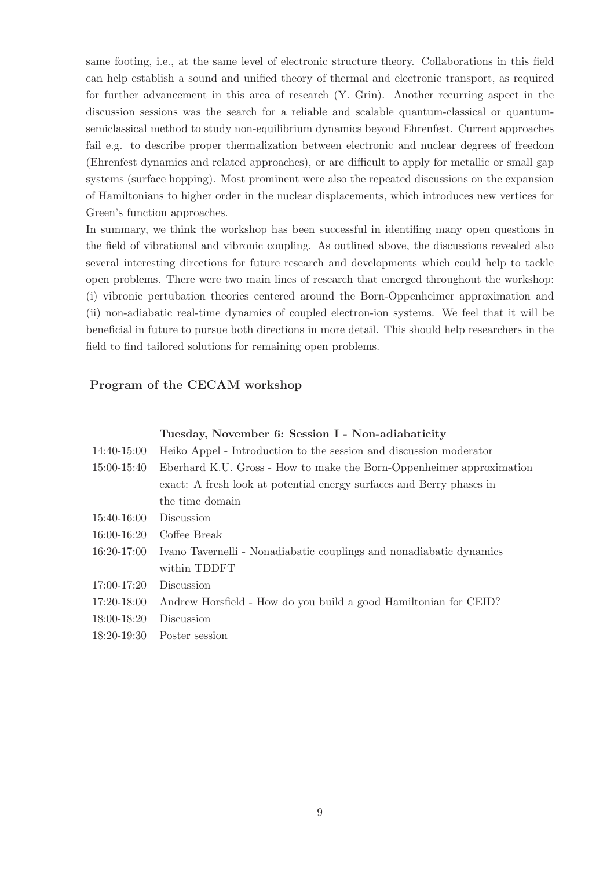same footing, i.e., at the same level of electronic structure theory. Collaborations in this field can help establish a sound and unified theory of thermal and electronic transport, as required for further advancement in this area of research (Y. Grin). Another recurring aspect in the discussion sessions was the search for a reliable and scalable quantum-classical or quantumsemiclassical method to study non-equilibrium dynamics beyond Ehrenfest. Current approaches fail e.g. to describe proper thermalization between electronic and nuclear degrees of freedom (Ehrenfest dynamics and related approaches), or are difficult to apply for metallic or small gap systems (surface hopping). Most prominent were also the repeated discussions on the expansion of Hamiltonians to higher order in the nuclear displacements, which introduces new vertices for Green's function approaches.

In summary, we think the workshop has been successful in identifing many open questions in the field of vibrational and vibronic coupling. As outlined above, the discussions revealed also several interesting directions for future research and developments which could help to tackle open problems. There were two main lines of research that emerged throughout the workshop: (i) vibronic pertubation theories centered around the Born-Oppenheimer approximation and (ii) non-adiabatic real-time dynamics of coupled electron-ion systems. We feel that it will be beneficial in future to pursue both directions in more detail. This should help researchers in the field to find tailored solutions for remaining open problems.

### Program of the CECAM workshop

#### Tuesday, November 6: Session I - Non-adiabaticity

| 14:40-15:00 | Heiko Appel - Introduction to the session and discussion moderator   |
|-------------|----------------------------------------------------------------------|
| 15:00-15:40 | Eberhard K.U. Gross - How to make the Born-Oppenheimer approximation |
|             | exact: A fresh look at potential energy surfaces and Berry phases in |
|             | the time domain                                                      |
| 15:40-16:00 | Discussion                                                           |
| 16:00-16:20 | Coffee Break                                                         |
| 16:20-17:00 | Ivano Tavernelli - Nonadiabatic couplings and nonadiabatic dynamics  |
|             | within TDDFT                                                         |
| 17:00-17:20 | Discussion                                                           |
| 17:20-18:00 | Andrew Horsfield - How do you build a good Hamiltonian for CEID?     |
| 18:00-18:20 | Discussion                                                           |
| 18:20-19:30 | Poster session                                                       |
|             |                                                                      |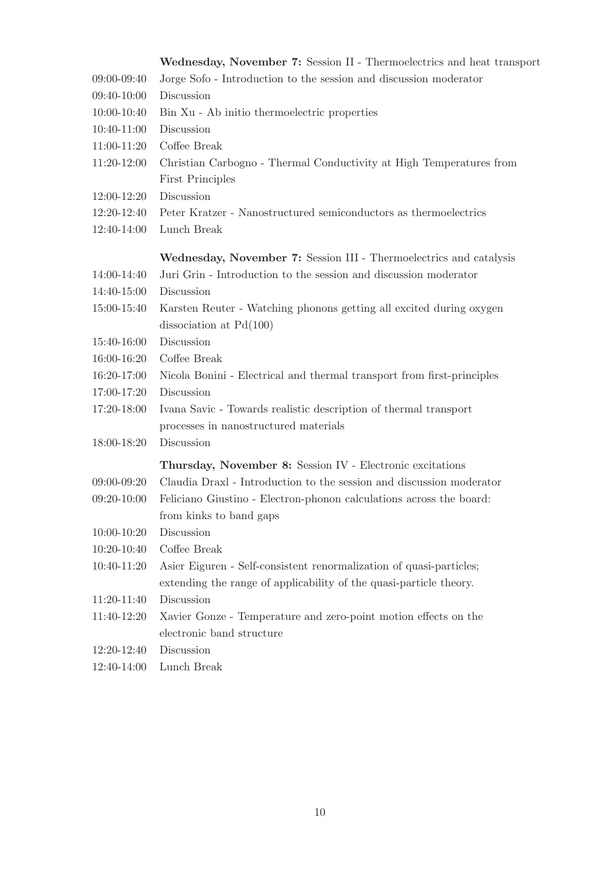|               | Wednesday, November 7: Session II - Thermoelectrics and heat transport |
|---------------|------------------------------------------------------------------------|
| 09:00-09:40   | Jorge Sofo - Introduction to the session and discussion moderator      |
| 09:40-10:00   | Discussion                                                             |
| 10:00-10:40   | Bin Xu - Ab initio thermoelectric properties                           |
| 10:40-11:00   | Discussion                                                             |
| $11:00-11:20$ | Coffee Break                                                           |
| 11:20-12:00   | Christian Carbogno - Thermal Conductivity at High Temperatures from    |
|               | <b>First Principles</b>                                                |
| 12:00-12:20   | Discussion                                                             |
| 12:20-12:40   | Peter Kratzer - Nanostructured semiconductors as thermoelectrics       |
| 12:40-14:00   | Lunch Break                                                            |
|               | Wednesday, November 7: Session III - Thermoelectrics and catalysis     |
| 14:00-14:40   | Juri Grin - Introduction to the session and discussion moderator       |
| 14:40-15:00   | Discussion                                                             |
| 15:00-15:40   | Karsten Reuter - Watching phonons getting all excited during oxygen    |
|               | dissociation at $Pd(100)$                                              |
| 15:40-16:00   | Discussion                                                             |
| 16:00-16:20   | Coffee Break                                                           |
| 16:20-17:00   | Nicola Bonini - Electrical and thermal transport from first-principles |
| 17:00-17:20   | Discussion                                                             |
| 17:20-18:00   | Ivana Savic - Towards realistic description of thermal transport       |
|               | processes in nanostructured materials                                  |
| 18:00-18:20   | Discussion                                                             |
|               | Thursday, November 8: Session IV - Electronic excitations              |
| 09:00-09:20   | Claudia Draxl - Introduction to the session and discussion moderator   |
| $09:20-10:00$ | Feliciano Giustino - Electron-phonon calculations across the board:    |
|               | from kinks to band gaps                                                |
| 10:00-10:20   | Discussion                                                             |
| $10:20-10:40$ | Coffee Break                                                           |
| 10:40-11:20   | Asier Eiguren - Self-consistent renormalization of quasi-particles;    |
|               | extending the range of applicability of the quasi-particle theory.     |
| 11:20-11:40   | Discussion                                                             |
| 11:40-12:20   | Xavier Gonze - Temperature and zero-point motion effects on the        |
|               | electronic band structure                                              |
| 12:20-12:40   | Discussion                                                             |
|               |                                                                        |

12:40-14:00 Lunch Break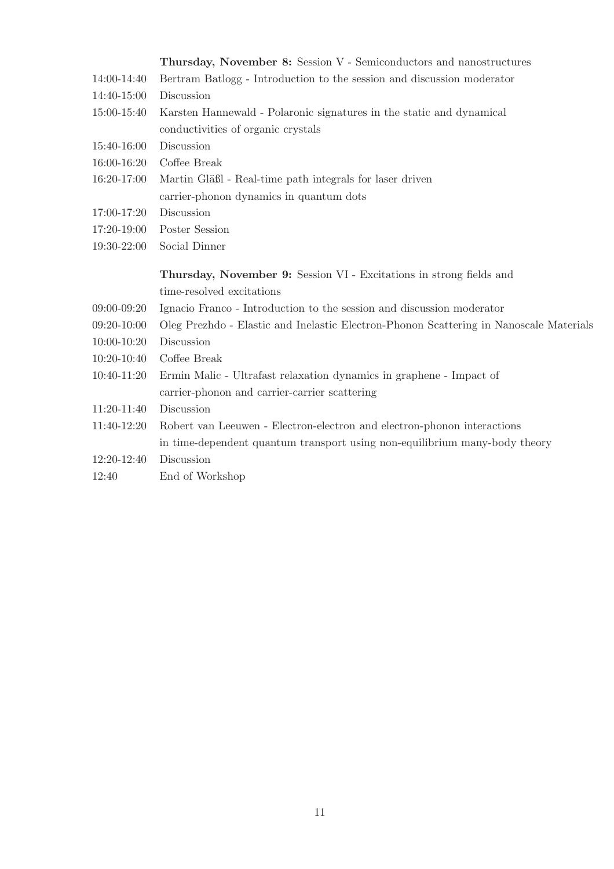|                 | Thursday, November 8: Session V - Semiconductors and nanostructures                    |
|-----------------|----------------------------------------------------------------------------------------|
| 14:00-14:40     | Bertram Batlogg - Introduction to the session and discussion moderator                 |
| 14:40-15:00     | Discussion                                                                             |
| 15:00-15:40     | Karsten Hannewald - Polaronic signatures in the static and dynamical                   |
|                 | conductivities of organic crystals                                                     |
| 15:40-16:00     | Discussion                                                                             |
| 16:00-16:20     | Coffee Break                                                                           |
| 16:20-17:00     | Martin Gläßl - Real-time path integrals for laser driven                               |
|                 | carrier-phonon dynamics in quantum dots                                                |
| 17:00-17:20     | Discussion                                                                             |
| 17:20-19:00     | Poster Session                                                                         |
| 19:30-22:00     | Social Dinner                                                                          |
|                 |                                                                                        |
|                 |                                                                                        |
|                 | Thursday, November 9: Session VI - Excitations in strong fields and                    |
|                 | time-resolved excitations                                                              |
| $09:00 - 09:20$ | Ignacio Franco - Introduction to the session and discussion moderator                  |
| $09:20-10:00$   | Oleg Prezhdo - Elastic and Inelastic Electron-Phonon Scattering in Nanoscale Materials |
| $10:00 - 10:20$ | Discussion                                                                             |
| 10:20-10:40     | Coffee Break                                                                           |
| 10:40-11:20     | Ermin Malic - Ultrafast relaxation dynamics in graphene - Impact of                    |
|                 | carrier-phonon and carrier-carrier scattering                                          |
| 11:20-11:40     | Discussion                                                                             |
| 11:40-12:20     | Robert van Leeuwen - Electron-electron and electron-phonon interactions                |
|                 | in time-dependent quantum transport using non-equilibrium many-body theory             |
| 12:20-12:40     | Discussion                                                                             |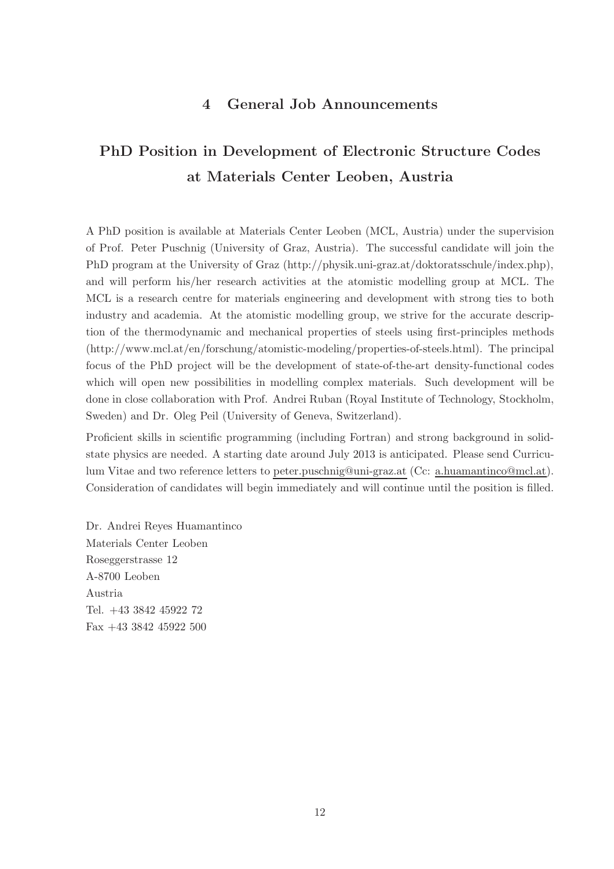## 4 General Job Announcements

# PhD Position in Development of Electronic Structure Codes at Materials Center Leoben, Austria

A PhD position is available at Materials Center Leoben (MCL, Austria) under the supervision of Prof. Peter Puschnig (University of Graz, Austria). The successful candidate will join the PhD program at the University of Graz (http://physik.uni-graz.at/doktoratsschule/index.php), and will perform his/her research activities at the atomistic modelling group at MCL. The MCL is a research centre for materials engineering and development with strong ties to both industry and academia. At the atomistic modelling group, we strive for the accurate description of the thermodynamic and mechanical properties of steels using first-principles methods (http://www.mcl.at/en/forschung/atomistic-modeling/properties-of-steels.html). The principal focus of the PhD project will be the development of state-of-the-art density-functional codes which will open new possibilities in modelling complex materials. Such development will be done in close collaboration with Prof. Andrei Ruban (Royal Institute of Technology, Stockholm, Sweden) and Dr. Oleg Peil (University of Geneva, Switzerland).

Proficient skills in scientific programming (including Fortran) and strong background in solidstate physics are needed. A starting date around July 2013 is anticipated. Please send Curriculum Vitae and two reference letters to peter.puschnig@uni-graz.at (Cc: a.huamantinco@mcl.at). Consideration of candidates will begin immediately and will continue until the position is filled.

Dr. Andrei Reyes Huamantinco Materials Center Leoben Roseggerstrasse 12 A-8700 Leoben Austria Tel. +43 3842 45922 72 Fax +43 3842 45922 500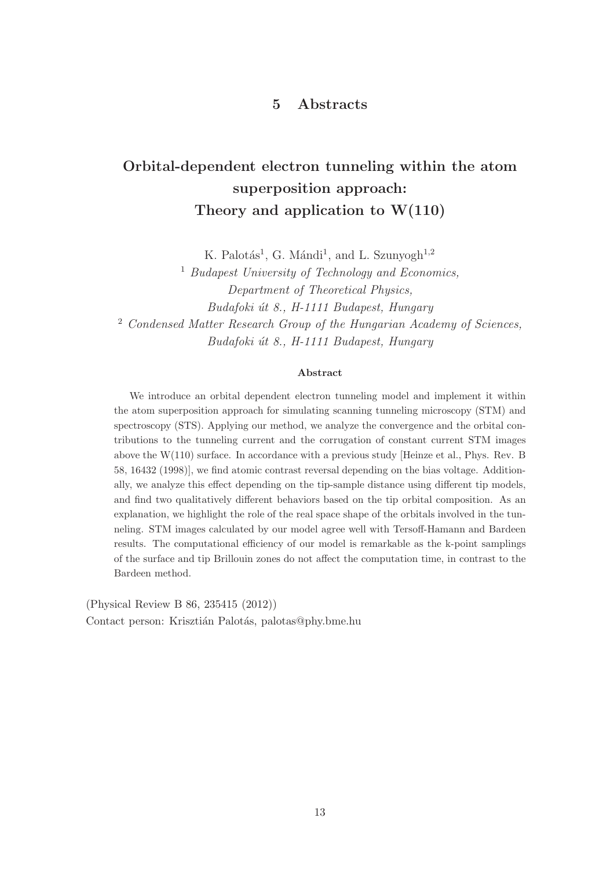## 5 Abstracts

# Orbital-dependent electron tunneling within the atom superposition approach: Theory and application to  $W(110)$

K. Palotás<sup>1</sup>, G. Mándi<sup>1</sup>, and L. Szunyogh<sup>1,2</sup>

<sup>1</sup> Budapest University of Technology and Economics, Department of Theoretical Physics, Budafoki út 8., H-1111 Budapest, Hungary <sup>2</sup> Condensed Matter Research Group of the Hungarian Academy of Sciences, Budafoki út 8., H-1111 Budapest, Hungary

#### Abstract

We introduce an orbital dependent electron tunneling model and implement it within the atom superposition approach for simulating scanning tunneling microscopy (STM) and spectroscopy (STS). Applying our method, we analyze the convergence and the orbital contributions to the tunneling current and the corrugation of constant current STM images above the W(110) surface. In accordance with a previous study [Heinze et al., Phys. Rev. B 58, 16432 (1998)], we find atomic contrast reversal depending on the bias voltage. Additionally, we analyze this effect depending on the tip-sample distance using different tip models, and find two qualitatively different behaviors based on the tip orbital composition. As an explanation, we highlight the role of the real space shape of the orbitals involved in the tunneling. STM images calculated by our model agree well with Tersoff-Hamann and Bardeen results. The computational efficiency of our model is remarkable as the k-point samplings of the surface and tip Brillouin zones do not affect the computation time, in contrast to the Bardeen method.

(Physical Review B 86, 235415 (2012)) Contact person: Krisztián Palotás, palotas@phy.bme.hu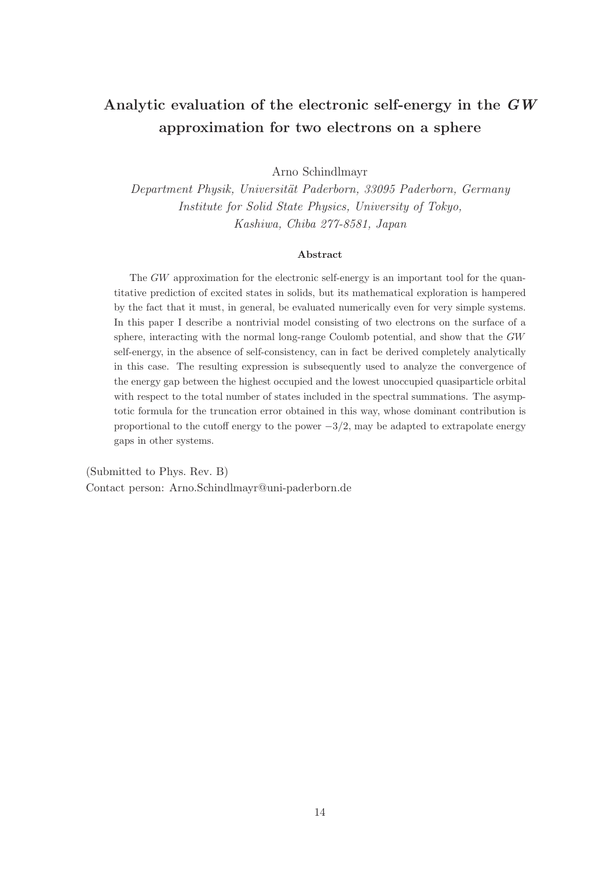# Analytic evaluation of the electronic self-energy in the GW approximation for two electrons on a sphere

Arno Schindlmayr

Department Physik, Universität Paderborn, 33095 Paderborn, Germany Institute for Solid State Physics, University of Tokyo, Kashiwa, Chiba 277-8581, Japan

#### Abstract

The GW approximation for the electronic self-energy is an important tool for the quantitative prediction of excited states in solids, but its mathematical exploration is hampered by the fact that it must, in general, be evaluated numerically even for very simple systems. In this paper I describe a nontrivial model consisting of two electrons on the surface of a sphere, interacting with the normal long-range Coulomb potential, and show that the GW self-energy, in the absence of self-consistency, can in fact be derived completely analytically in this case. The resulting expression is subsequently used to analyze the convergence of the energy gap between the highest occupied and the lowest unoccupied quasiparticle orbital with respect to the total number of states included in the spectral summations. The asymptotic formula for the truncation error obtained in this way, whose dominant contribution is proportional to the cutoff energy to the power  $-3/2$ , may be adapted to extrapolate energy gaps in other systems.

(Submitted to Phys. Rev. B) Contact person: Arno.Schindlmayr@uni-paderborn.de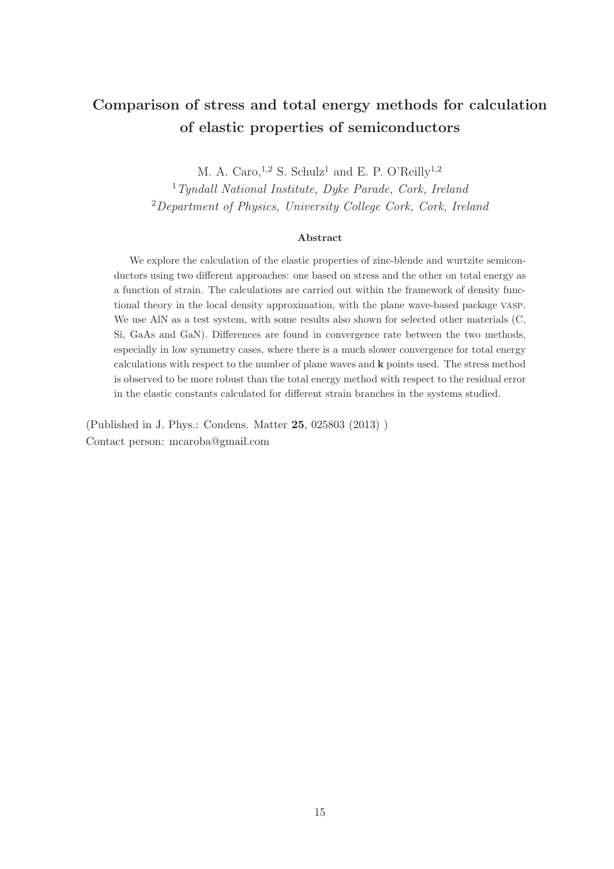# Comparison of stress and total energy methods for calculation of elastic properties of semiconductors

M. A. Caro,  $1,2$  S. Schulz<sup>1</sup> and E. P. O'Reilly<sup>1,2</sup>

<sup>1</sup>Tyndall National Institute, Dyke Parade, Cork, Ireland  ${}^{2}$ Department of Physics, University College Cork, Cork, Ireland

#### Abstract

We explore the calculation of the elastic properties of zinc-blende and wurtzite semiconductors using two different approaches: one based on stress and the other on total energy as a function of strain. The calculations are carried out within the framework of density functional theory in the local density approximation, with the plane wave-based package vasp. We use AlN as a test system, with some results also shown for selected other materials (C, Si, GaAs and GaN). Differences are found in convergence rate between the two methods, especially in low symmetry cases, where there is a much slower convergence for total energy calculations with respect to the number of plane waves and k points used. The stress method is observed to be more robust than the total energy method with respect to the residual error in the elastic constants calculated for different strain branches in the systems studied.

(Published in J. Phys.: Condens. Matter 25, 025803 (2013) ) Contact person: mcaroba@gmail.com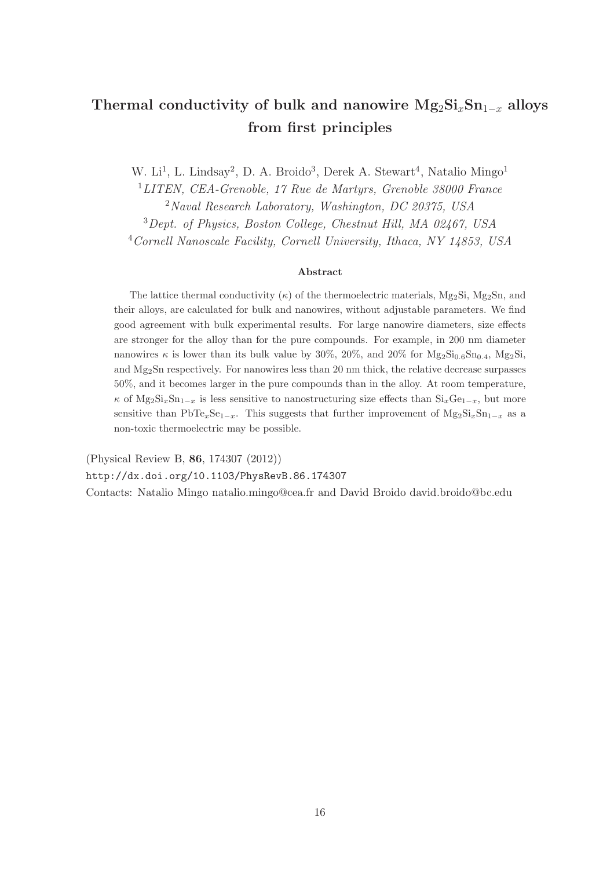# Thermal conductivity of bulk and nanowire  $Mg_2Si_xSn_{1-x}$  alloys from first principles

W. Li<sup>1</sup>, L. Lindsay<sup>2</sup>, D. A. Broido<sup>3</sup>, Derek A. Stewart<sup>4</sup>, Natalio Mingo<sup>1</sup>

LITEN, CEA-Grenoble, 17 Rue de Martyrs, Grenoble 38000 France Naval Research Laboratory, Washington, DC 20375, USA Dept. of Physics, Boston College, Chestnut Hill, MA 02467, USA Cornell Nanoscale Facility, Cornell University, Ithaca, NY 14853, USA

#### Abstract

The lattice thermal conductivity  $(\kappa)$  of the thermoelectric materials, Mg<sub>2</sub>Si, Mg<sub>2</sub>S<sub>n</sub>, and their alloys, are calculated for bulk and nanowires, without adjustable parameters. We find good agreement with bulk experimental results. For large nanowire diameters, size effects are stronger for the alloy than for the pure compounds. For example, in 200 nm diameter nanowires  $\kappa$  is lower than its bulk value by 30%, 20%, and 20% for  $Mg_2Si_{0.6}Sn_{0.4}$ ,  $Mg_2Si$ , and  $Mg_2$ Sn respectively. For nanowires less than 20 nm thick, the relative decrease surpasses 50%, and it becomes larger in the pure compounds than in the alloy. At room temperature,  $\kappa$  of Mg<sub>2</sub>Si<sub>x</sub>Sn<sub>1−x</sub> is less sensitive to nanostructuring size effects than Si<sub>x</sub>Ge<sub>1−x</sub>, but more sensitive than PbTe<sub>x</sub>Se<sub>1−x</sub>. This suggests that further improvement of Mg<sub>2</sub>Si<sub>x</sub>Sn<sub>1−x</sub> as a non-toxic thermoelectric may be possible.

(Physical Review B, 86, 174307 (2012)) http://dx.doi.org/10.1103/PhysRevB.86.174307 Contacts: Natalio Mingo natalio.mingo@cea.fr and David Broido david.broido@bc.edu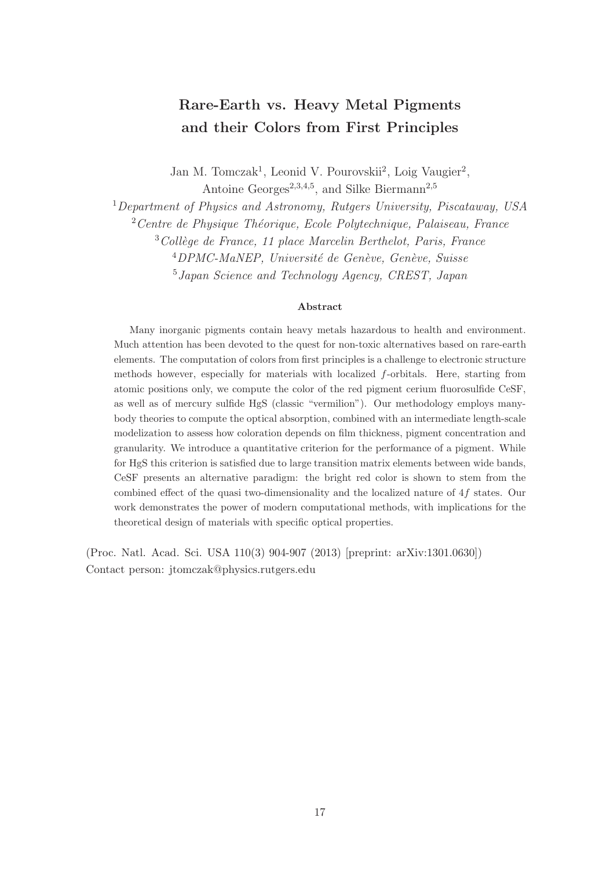# Rare-Earth vs. Heavy Metal Pigments and their Colors from First Principles

Jan M. Tomczak<sup>1</sup>, Leonid V. Pourovskii<sup>2</sup>, Loig Vaugier<sup>2</sup>, Antoine Georges<sup>2,3,4,5</sup>, and Silke Biermann<sup>2,5</sup>

<sup>1</sup>Department of Physics and Astronomy, Rutgers University, Piscataway, USA

 $2$ Centre de Physique Théorique, Ecole Polytechnique, Palaiseau, France

 $3$ Collège de France, 11 place Marcelin Berthelot, Paris, France

 $^{4}$ DPMC-MaNEP, Université de Genève, Genève, Suisse

<sup>5</sup>Japan Science and Technology Agency, CREST, Japan

#### Abstract

Many inorganic pigments contain heavy metals hazardous to health and environment. Much attention has been devoted to the quest for non-toxic alternatives based on rare-earth elements. The computation of colors from first principles is a challenge to electronic structure methods however, especially for materials with localized f-orbitals. Here, starting from atomic positions only, we compute the color of the red pigment cerium fluorosulfide CeSF, as well as of mercury sulfide HgS (classic "vermilion"). Our methodology employs manybody theories to compute the optical absorption, combined with an intermediate length-scale modelization to assess how coloration depends on film thickness, pigment concentration and granularity. We introduce a quantitative criterion for the performance of a pigment. While for HgS this criterion is satisfied due to large transition matrix elements between wide bands, CeSF presents an alternative paradigm: the bright red color is shown to stem from the combined effect of the quasi two-dimensionality and the localized nature of 4f states. Our work demonstrates the power of modern computational methods, with implications for the theoretical design of materials with specific optical properties.

(Proc. Natl. Acad. Sci. USA 110(3) 904-907 (2013) [preprint: arXiv:1301.0630]) Contact person: jtomczak@physics.rutgers.edu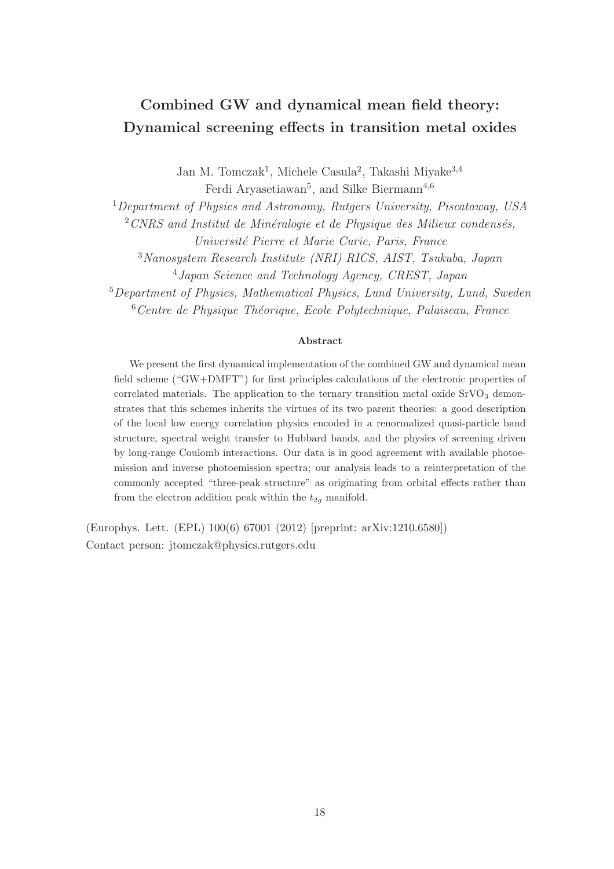# Combined GW and dynamical mean field theory: Dynamical screening effects in transition metal oxides

Jan M. Tomczak<sup>1</sup>, Michele Casula<sup>2</sup>, Takashi Miyake<sup>3,4</sup> Ferdi Aryasetiawan<sup>5</sup>, and Silke Biermann<sup>4,6</sup>

<sup>1</sup>Department of Physics and Astronomy, Rutgers University, Piscataway, USA

 $2$  CNRS and Institut de Minéralogie et de Physique des Milieux condensés,

Université Pierre et Marie Curie, Paris, France

<sup>3</sup>Nanosystem Research Institute (NRI) RICS, AIST, Tsukuba, Japan

<sup>4</sup>Japan Science and Technology Agency, CREST, Japan

<sup>5</sup>Department of Physics, Mathematical Physics, Lund University, Lund, Sweden  $6$ Centre de Physique Théorique, Ecole Polytechnique, Palaiseau, France

#### Abstract

We present the first dynamical implementation of the combined GW and dynamical mean field scheme ("GW+DMFT") for first principles calculations of the electronic properties of correlated materials. The application to the ternary transition metal oxide  $SrVO<sub>3</sub>$  demonstrates that this schemes inherits the virtues of its two parent theories: a good description of the local low energy correlation physics encoded in a renormalized quasi-particle band structure, spectral weight transfer to Hubbard bands, and the physics of screening driven by long-range Coulomb interactions. Our data is in good agreement with available photoemission and inverse photoemission spectra; our analysis leads to a reinterpretation of the commonly accepted "three-peak structure" as originating from orbital effects rather than from the electron addition peak within the  $t_{2g}$  manifold.

(Europhys. Lett. (EPL) 100(6) 67001 (2012) [preprint: arXiv:1210.6580]) Contact person: jtomczak@physics.rutgers.edu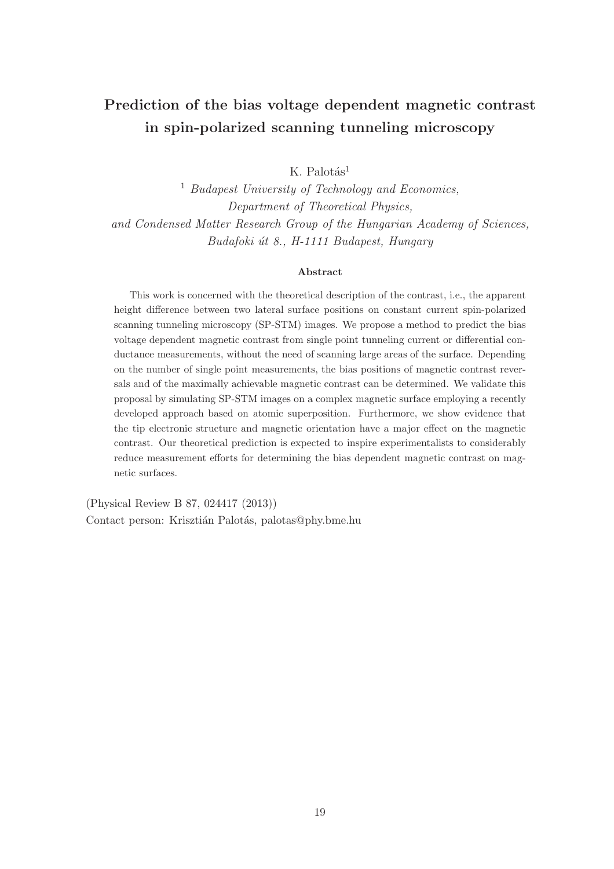# Prediction of the bias voltage dependent magnetic contrast in spin-polarized scanning tunneling microscopy

 $K$  Palotás<sup>1</sup>

<sup>1</sup> Budapest University of Technology and Economics, Department of Theoretical Physics, and Condensed Matter Research Group of the Hungarian Academy of Sciences, Budafoki út 8., H-1111 Budapest, Hungary

#### Abstract

This work is concerned with the theoretical description of the contrast, i.e., the apparent height difference between two lateral surface positions on constant current spin-polarized scanning tunneling microscopy (SP-STM) images. We propose a method to predict the bias voltage dependent magnetic contrast from single point tunneling current or differential conductance measurements, without the need of scanning large areas of the surface. Depending on the number of single point measurements, the bias positions of magnetic contrast reversals and of the maximally achievable magnetic contrast can be determined. We validate this proposal by simulating SP-STM images on a complex magnetic surface employing a recently developed approach based on atomic superposition. Furthermore, we show evidence that the tip electronic structure and magnetic orientation have a major effect on the magnetic contrast. Our theoretical prediction is expected to inspire experimentalists to considerably reduce measurement efforts for determining the bias dependent magnetic contrast on magnetic surfaces.

(Physical Review B 87, 024417 (2013)) Contact person: Krisztián Palotás, palotas@phy.bme.hu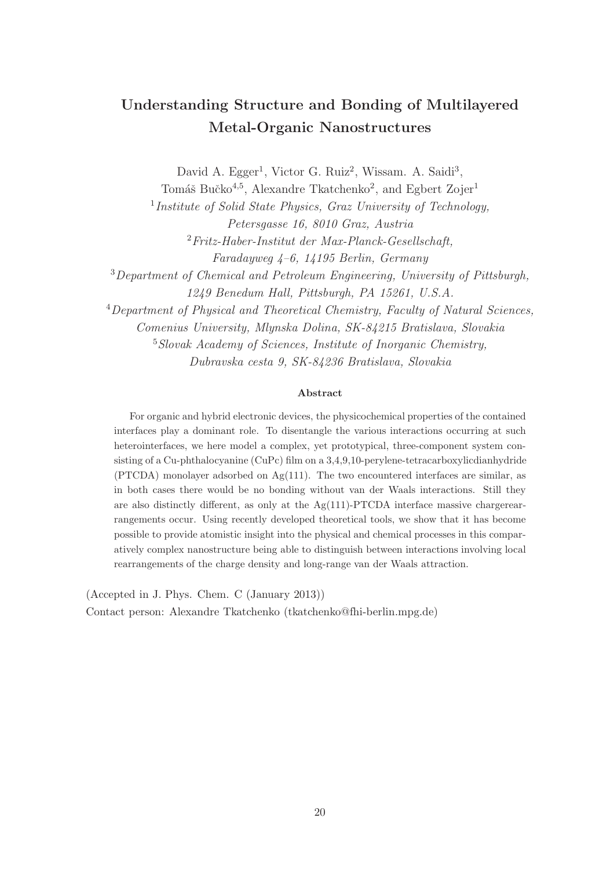# Understanding Structure and Bonding of Multilayered Metal-Organic Nanostructures

David A. Egger<sup>1</sup>, Victor G. Ruiz<sup>2</sup>, Wissam. A. Saidi<sup>3</sup>,

Tomáš Bučko<sup>4,5</sup>, Alexandre Tkatchenko<sup>2</sup>, and Egbert Zojer<sup>1</sup>

<sup>1</sup>Institute of Solid State Physics, Graz University of Technology,

Petersgasse 16, 8010 Graz, Austria

<sup>2</sup>Fritz-Haber-Institut der Max-Planck-Gesellschaft,

Faradayweg 4–6, 14195 Berlin, Germany

<sup>3</sup>Department of Chemical and Petroleum Engineering, University of Pittsburgh,

1249 Benedum Hall, Pittsburgh, PA 15261, U.S.A.

<sup>4</sup>Department of Physical and Theoretical Chemistry, Faculty of Natural Sciences,

Comenius University, Mlynska Dolina, SK-84215 Bratislava, Slovakia

<sup>5</sup>Slovak Academy of Sciences, Institute of Inorganic Chemistry, Dubravska cesta 9, SK-84236 Bratislava, Slovakia

#### Abstract

For organic and hybrid electronic devices, the physicochemical properties of the contained interfaces play a dominant role. To disentangle the various interactions occurring at such heterointerfaces, we here model a complex, yet prototypical, three-component system consisting of a Cu-phthalocyanine (CuPc) film on a 3,4,9,10-perylene-tetracarboxylicdianhydride  $(PTCDA)$  monolayer adsorbed on  $Ag(111)$ . The two encountered interfaces are similar, as in both cases there would be no bonding without van der Waals interactions. Still they are also distinctly different, as only at the  $Ag(111)$ -PTCDA interface massive chargerearrangements occur. Using recently developed theoretical tools, we show that it has become possible to provide atomistic insight into the physical and chemical processes in this comparatively complex nanostructure being able to distinguish between interactions involving local rearrangements of the charge density and long-range van der Waals attraction.

(Accepted in J. Phys. Chem. C (January 2013)) Contact person: Alexandre Tkatchenko (tkatchenko@fhi-berlin.mpg.de)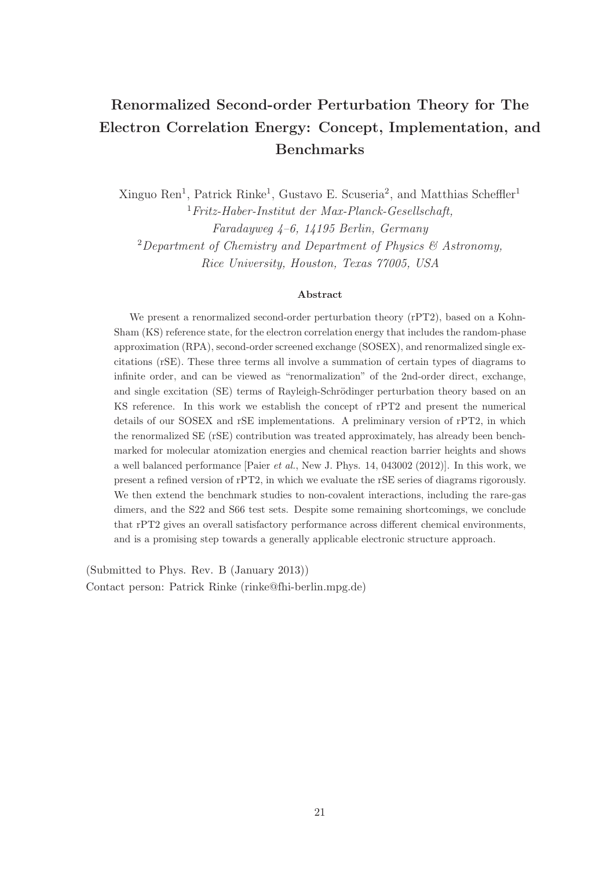# Renormalized Second-order Perturbation Theory for The Electron Correlation Energy: Concept, Implementation, and Benchmarks

Xinguo Ren<sup>1</sup>, Patrick Rinke<sup>1</sup>, Gustavo E. Scuseria<sup>2</sup>, and Matthias Scheffler<sup>1</sup>  $1$ Fritz-Haber-Institut der Max-Planck-Gesellschaft, Faradayweg 4–6, 14195 Berlin, Germany <sup>2</sup>Department of Chemistry and Department of Physics  $\mathcal{C}$  Astronomy, Rice University, Houston, Texas 77005, USA

#### Abstract

We present a renormalized second-order perturbation theory (rPT2), based on a Kohn-Sham (KS) reference state, for the electron correlation energy that includes the random-phase approximation (RPA), second-order screened exchange (SOSEX), and renormalized single excitations (rSE). These three terms all involve a summation of certain types of diagrams to infinite order, and can be viewed as "renormalization" of the 2nd-order direct, exchange, and single excitation (SE) terms of Rayleigh-Schrödinger perturbation theory based on an KS reference. In this work we establish the concept of rPT2 and present the numerical details of our SOSEX and rSE implementations. A preliminary version of rPT2, in which the renormalized SE (rSE) contribution was treated approximately, has already been benchmarked for molecular atomization energies and chemical reaction barrier heights and shows a well balanced performance [Paier et al., New J. Phys. 14, 043002 (2012)]. In this work, we present a refined version of rPT2, in which we evaluate the rSE series of diagrams rigorously. We then extend the benchmark studies to non-covalent interactions, including the rare-gas dimers, and the S22 and S66 test sets. Despite some remaining shortcomings, we conclude that rPT2 gives an overall satisfactory performance across different chemical environments, and is a promising step towards a generally applicable electronic structure approach.

(Submitted to Phys. Rev. B (January 2013)) Contact person: Patrick Rinke (rinke@fhi-berlin.mpg.de)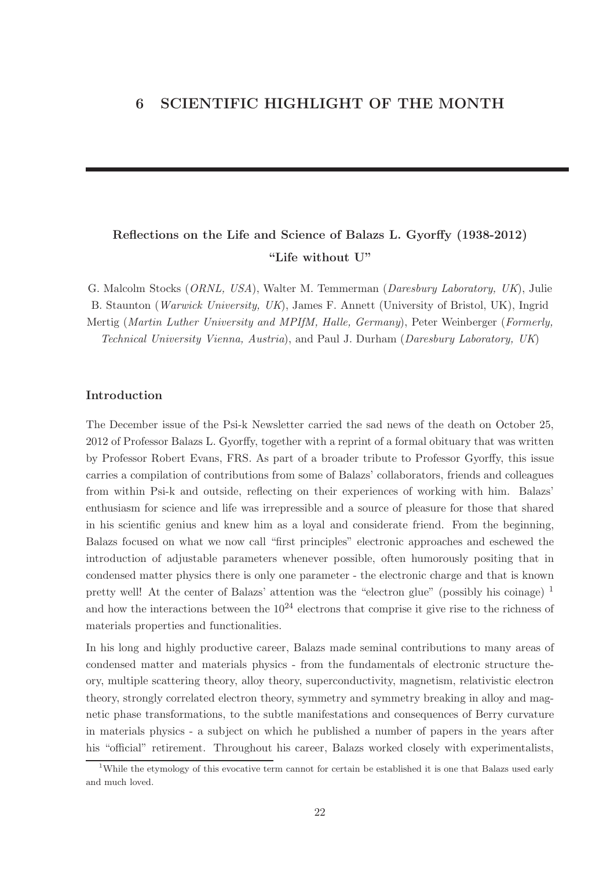## Reflections on the Life and Science of Balazs L. Gyorffy (1938-2012) "Life without U"

G. Malcolm Stocks (ORNL, USA), Walter M. Temmerman (Daresbury Laboratory, UK), Julie B. Staunton (Warwick University, UK), James F. Annett (University of Bristol, UK), Ingrid Mertig (Martin Luther University and MPIfM, Halle, Germany), Peter Weinberger (Formerly, Technical University Vienna, Austria), and Paul J. Durham (Daresbury Laboratory, UK)

### Introduction

The December issue of the Psi-k Newsletter carried the sad news of the death on October 25, 2012 of Professor Balazs L. Gyorffy, together with a reprint of a formal obituary that was written by Professor Robert Evans, FRS. As part of a broader tribute to Professor Gyorffy, this issue carries a compilation of contributions from some of Balazs' collaborators, friends and colleagues from within Psi-k and outside, reflecting on their experiences of working with him. Balazs' enthusiasm for science and life was irrepressible and a source of pleasure for those that shared in his scientific genius and knew him as a loyal and considerate friend. From the beginning, Balazs focused on what we now call "first principles" electronic approaches and eschewed the introduction of adjustable parameters whenever possible, often humorously positing that in condensed matter physics there is only one parameter - the electronic charge and that is known pretty well! At the center of Balazs' attention was the "electron glue" (possibly his coinage) <sup>1</sup> and how the interactions between the  $10^{24}$  electrons that comprise it give rise to the richness of materials properties and functionalities.

In his long and highly productive career, Balazs made seminal contributions to many areas of condensed matter and materials physics - from the fundamentals of electronic structure theory, multiple scattering theory, alloy theory, superconductivity, magnetism, relativistic electron theory, strongly correlated electron theory, symmetry and symmetry breaking in alloy and magnetic phase transformations, to the subtle manifestations and consequences of Berry curvature in materials physics - a subject on which he published a number of papers in the years after his "official" retirement. Throughout his career, Balazs worked closely with experimentalists,

<sup>&</sup>lt;sup>1</sup>While the etymology of this evocative term cannot for certain be established it is one that Balazs used early and much loved.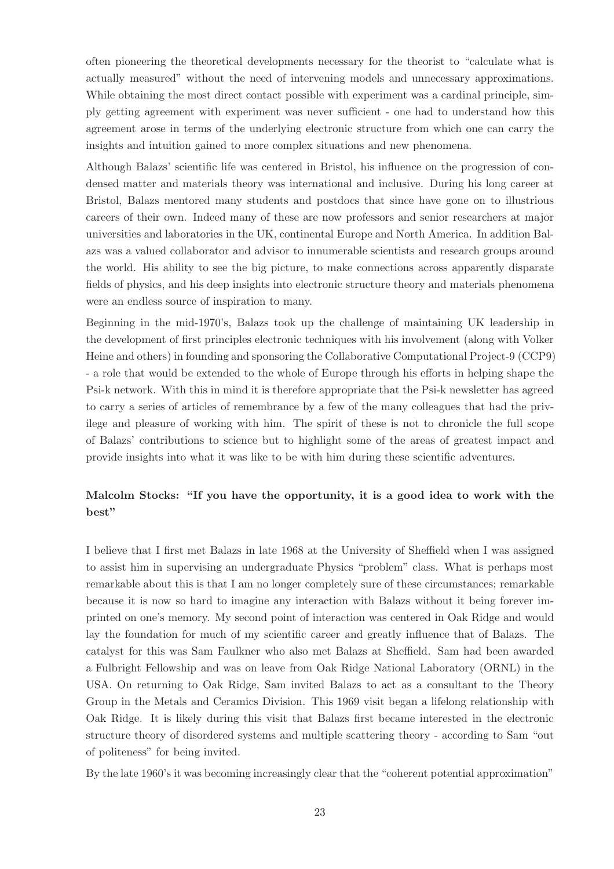often pioneering the theoretical developments necessary for the theorist to "calculate what is actually measured" without the need of intervening models and unnecessary approximations. While obtaining the most direct contact possible with experiment was a cardinal principle, simply getting agreement with experiment was never sufficient - one had to understand how this agreement arose in terms of the underlying electronic structure from which one can carry the insights and intuition gained to more complex situations and new phenomena.

Although Balazs' scientific life was centered in Bristol, his influence on the progression of condensed matter and materials theory was international and inclusive. During his long career at Bristol, Balazs mentored many students and postdocs that since have gone on to illustrious careers of their own. Indeed many of these are now professors and senior researchers at major universities and laboratories in the UK, continental Europe and North America. In addition Balazs was a valued collaborator and advisor to innumerable scientists and research groups around the world. His ability to see the big picture, to make connections across apparently disparate fields of physics, and his deep insights into electronic structure theory and materials phenomena were an endless source of inspiration to many.

Beginning in the mid-1970's, Balazs took up the challenge of maintaining UK leadership in the development of first principles electronic techniques with his involvement (along with Volker Heine and others) in founding and sponsoring the Collaborative Computational Project-9 (CCP9) - a role that would be extended to the whole of Europe through his efforts in helping shape the Psi-k network. With this in mind it is therefore appropriate that the Psi-k newsletter has agreed to carry a series of articles of remembrance by a few of the many colleagues that had the privilege and pleasure of working with him. The spirit of these is not to chronicle the full scope of Balazs' contributions to science but to highlight some of the areas of greatest impact and provide insights into what it was like to be with him during these scientific adventures.

### Malcolm Stocks: "If you have the opportunity, it is a good idea to work with the best"

I believe that I first met Balazs in late 1968 at the University of Sheffield when I was assigned to assist him in supervising an undergraduate Physics "problem" class. What is perhaps most remarkable about this is that I am no longer completely sure of these circumstances; remarkable because it is now so hard to imagine any interaction with Balazs without it being forever imprinted on one's memory. My second point of interaction was centered in Oak Ridge and would lay the foundation for much of my scientific career and greatly influence that of Balazs. The catalyst for this was Sam Faulkner who also met Balazs at Sheffield. Sam had been awarded a Fulbright Fellowship and was on leave from Oak Ridge National Laboratory (ORNL) in the USA. On returning to Oak Ridge, Sam invited Balazs to act as a consultant to the Theory Group in the Metals and Ceramics Division. This 1969 visit began a lifelong relationship with Oak Ridge. It is likely during this visit that Balazs first became interested in the electronic structure theory of disordered systems and multiple scattering theory - according to Sam "out of politeness" for being invited.

By the late 1960's it was becoming increasingly clear that the "coherent potential approximation"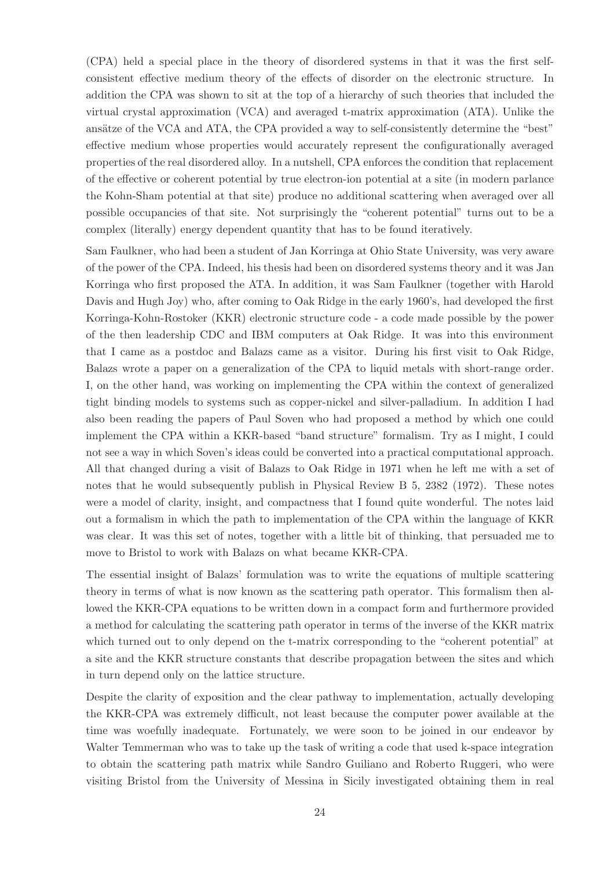(CPA) held a special place in the theory of disordered systems in that it was the first selfconsistent effective medium theory of the effects of disorder on the electronic structure. In addition the CPA was shown to sit at the top of a hierarchy of such theories that included the virtual crystal approximation (VCA) and averaged t-matrix approximation (ATA). Unlike the ansätze of the VCA and ATA, the CPA provided a way to self-consistently determine the "best" effective medium whose properties would accurately represent the configurationally averaged properties of the real disordered alloy. In a nutshell, CPA enforces the condition that replacement of the effective or coherent potential by true electron-ion potential at a site (in modern parlance the Kohn-Sham potential at that site) produce no additional scattering when averaged over all possible occupancies of that site. Not surprisingly the "coherent potential" turns out to be a complex (literally) energy dependent quantity that has to be found iteratively.

Sam Faulkner, who had been a student of Jan Korringa at Ohio State University, was very aware of the power of the CPA. Indeed, his thesis had been on disordered systems theory and it was Jan Korringa who first proposed the ATA. In addition, it was Sam Faulkner (together with Harold Davis and Hugh Joy) who, after coming to Oak Ridge in the early 1960's, had developed the first Korringa-Kohn-Rostoker (KKR) electronic structure code - a code made possible by the power of the then leadership CDC and IBM computers at Oak Ridge. It was into this environment that I came as a postdoc and Balazs came as a visitor. During his first visit to Oak Ridge, Balazs wrote a paper on a generalization of the CPA to liquid metals with short-range order. I, on the other hand, was working on implementing the CPA within the context of generalized tight binding models to systems such as copper-nickel and silver-palladium. In addition I had also been reading the papers of Paul Soven who had proposed a method by which one could implement the CPA within a KKR-based "band structure" formalism. Try as I might, I could not see a way in which Soven's ideas could be converted into a practical computational approach. All that changed during a visit of Balazs to Oak Ridge in 1971 when he left me with a set of notes that he would subsequently publish in Physical Review B 5, 2382 (1972). These notes were a model of clarity, insight, and compactness that I found quite wonderful. The notes laid out a formalism in which the path to implementation of the CPA within the language of KKR was clear. It was this set of notes, together with a little bit of thinking, that persuaded me to move to Bristol to work with Balazs on what became KKR-CPA.

The essential insight of Balazs' formulation was to write the equations of multiple scattering theory in terms of what is now known as the scattering path operator. This formalism then allowed the KKR-CPA equations to be written down in a compact form and furthermore provided a method for calculating the scattering path operator in terms of the inverse of the KKR matrix which turned out to only depend on the t-matrix corresponding to the "coherent potential" at a site and the KKR structure constants that describe propagation between the sites and which in turn depend only on the lattice structure.

Despite the clarity of exposition and the clear pathway to implementation, actually developing the KKR-CPA was extremely difficult, not least because the computer power available at the time was woefully inadequate. Fortunately, we were soon to be joined in our endeavor by Walter Temmerman who was to take up the task of writing a code that used k-space integration to obtain the scattering path matrix while Sandro Guiliano and Roberto Ruggeri, who were visiting Bristol from the University of Messina in Sicily investigated obtaining them in real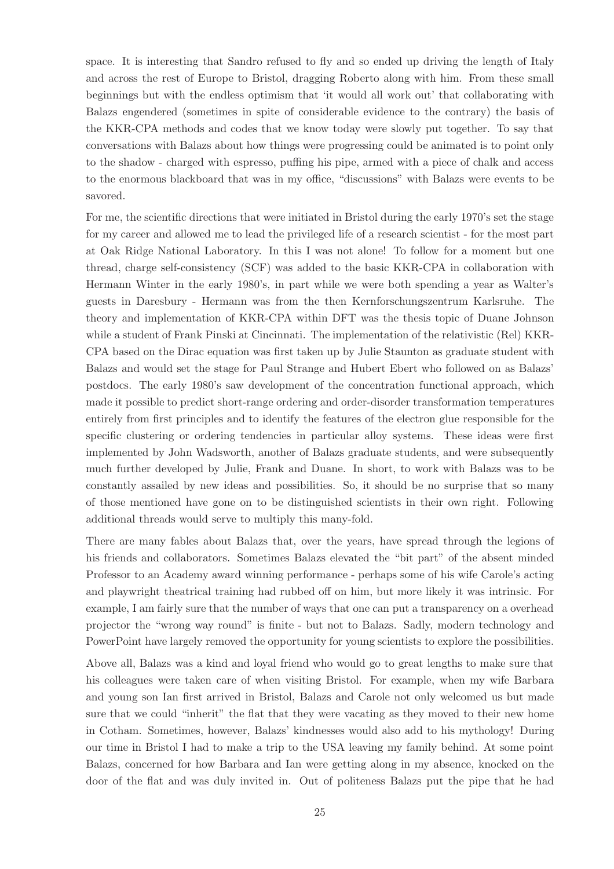space. It is interesting that Sandro refused to fly and so ended up driving the length of Italy and across the rest of Europe to Bristol, dragging Roberto along with him. From these small beginnings but with the endless optimism that 'it would all work out' that collaborating with Balazs engendered (sometimes in spite of considerable evidence to the contrary) the basis of the KKR-CPA methods and codes that we know today were slowly put together. To say that conversations with Balazs about how things were progressing could be animated is to point only to the shadow - charged with espresso, puffing his pipe, armed with a piece of chalk and access to the enormous blackboard that was in my office, "discussions" with Balazs were events to be savored.

For me, the scientific directions that were initiated in Bristol during the early 1970's set the stage for my career and allowed me to lead the privileged life of a research scientist - for the most part at Oak Ridge National Laboratory. In this I was not alone! To follow for a moment but one thread, charge self-consistency (SCF) was added to the basic KKR-CPA in collaboration with Hermann Winter in the early 1980's, in part while we were both spending a year as Walter's guests in Daresbury - Hermann was from the then Kernforschungszentrum Karlsruhe. The theory and implementation of KKR-CPA within DFT was the thesis topic of Duane Johnson while a student of Frank Pinski at Cincinnati. The implementation of the relativistic (Rel) KKR-CPA based on the Dirac equation was first taken up by Julie Staunton as graduate student with Balazs and would set the stage for Paul Strange and Hubert Ebert who followed on as Balazs' postdocs. The early 1980's saw development of the concentration functional approach, which made it possible to predict short-range ordering and order-disorder transformation temperatures entirely from first principles and to identify the features of the electron glue responsible for the specific clustering or ordering tendencies in particular alloy systems. These ideas were first implemented by John Wadsworth, another of Balazs graduate students, and were subsequently much further developed by Julie, Frank and Duane. In short, to work with Balazs was to be constantly assailed by new ideas and possibilities. So, it should be no surprise that so many of those mentioned have gone on to be distinguished scientists in their own right. Following additional threads would serve to multiply this many-fold.

There are many fables about Balazs that, over the years, have spread through the legions of his friends and collaborators. Sometimes Balazs elevated the "bit part" of the absent minded Professor to an Academy award winning performance - perhaps some of his wife Carole's acting and playwright theatrical training had rubbed off on him, but more likely it was intrinsic. For example, I am fairly sure that the number of ways that one can put a transparency on a overhead projector the "wrong way round" is finite - but not to Balazs. Sadly, modern technology and PowerPoint have largely removed the opportunity for young scientists to explore the possibilities.

Above all, Balazs was a kind and loyal friend who would go to great lengths to make sure that his colleagues were taken care of when visiting Bristol. For example, when my wife Barbara and young son Ian first arrived in Bristol, Balazs and Carole not only welcomed us but made sure that we could "inherit" the flat that they were vacating as they moved to their new home in Cotham. Sometimes, however, Balazs' kindnesses would also add to his mythology! During our time in Bristol I had to make a trip to the USA leaving my family behind. At some point Balazs, concerned for how Barbara and Ian were getting along in my absence, knocked on the door of the flat and was duly invited in. Out of politeness Balazs put the pipe that he had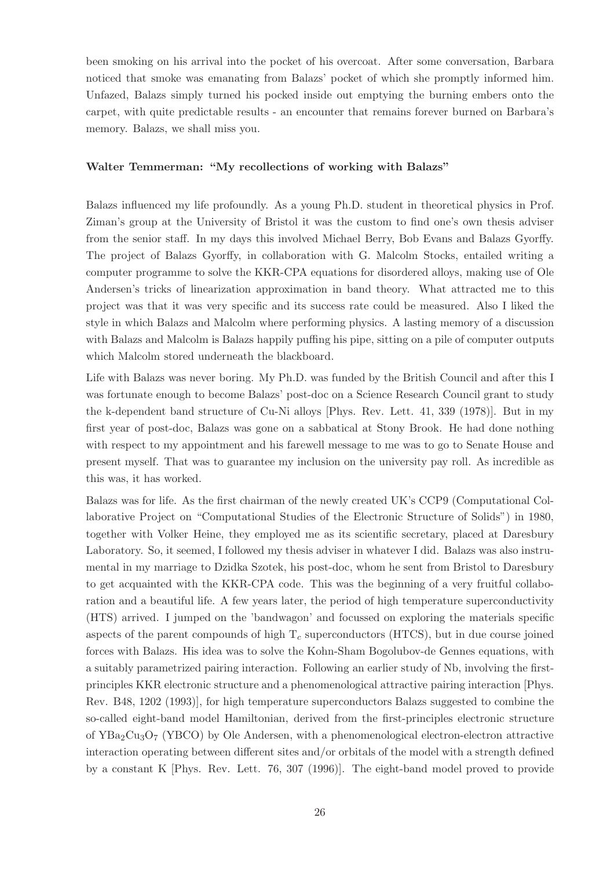been smoking on his arrival into the pocket of his overcoat. After some conversation, Barbara noticed that smoke was emanating from Balazs' pocket of which she promptly informed him. Unfazed, Balazs simply turned his pocked inside out emptying the burning embers onto the carpet, with quite predictable results - an encounter that remains forever burned on Barbara's memory. Balazs, we shall miss you.

#### Walter Temmerman: "My recollections of working with Balazs"

Balazs influenced my life profoundly. As a young Ph.D. student in theoretical physics in Prof. Ziman's group at the University of Bristol it was the custom to find one's own thesis adviser from the senior staff. In my days this involved Michael Berry, Bob Evans and Balazs Gyorffy. The project of Balazs Gyorffy, in collaboration with G. Malcolm Stocks, entailed writing a computer programme to solve the KKR-CPA equations for disordered alloys, making use of Ole Andersen's tricks of linearization approximation in band theory. What attracted me to this project was that it was very specific and its success rate could be measured. Also I liked the style in which Balazs and Malcolm where performing physics. A lasting memory of a discussion with Balazs and Malcolm is Balazs happily puffing his pipe, sitting on a pile of computer outputs which Malcolm stored underneath the blackboard.

Life with Balazs was never boring. My Ph.D. was funded by the British Council and after this I was fortunate enough to become Balazs' post-doc on a Science Research Council grant to study the k-dependent band structure of Cu-Ni alloys [Phys. Rev. Lett. 41, 339 (1978)]. But in my first year of post-doc, Balazs was gone on a sabbatical at Stony Brook. He had done nothing with respect to my appointment and his farewell message to me was to go to Senate House and present myself. That was to guarantee my inclusion on the university pay roll. As incredible as this was, it has worked.

Balazs was for life. As the first chairman of the newly created UK's CCP9 (Computational Collaborative Project on "Computational Studies of the Electronic Structure of Solids") in 1980, together with Volker Heine, they employed me as its scientific secretary, placed at Daresbury Laboratory. So, it seemed, I followed my thesis adviser in whatever I did. Balazs was also instrumental in my marriage to Dzidka Szotek, his post-doc, whom he sent from Bristol to Daresbury to get acquainted with the KKR-CPA code. This was the beginning of a very fruitful collaboration and a beautiful life. A few years later, the period of high temperature superconductivity (HTS) arrived. I jumped on the 'bandwagon' and focussed on exploring the materials specific aspects of the parent compounds of high  $T_c$  superconductors (HTCS), but in due course joined forces with Balazs. His idea was to solve the Kohn-Sham Bogolubov-de Gennes equations, with a suitably parametrized pairing interaction. Following an earlier study of Nb, involving the firstprinciples KKR electronic structure and a phenomenological attractive pairing interaction [Phys. Rev. B48, 1202 (1993)], for high temperature superconductors Balazs suggested to combine the so-called eight-band model Hamiltonian, derived from the first-principles electronic structure of  $YBa<sub>2</sub>Cu<sub>3</sub>O<sub>7</sub>$  (YBCO) by Ole Andersen, with a phenomenological electron-electron attractive interaction operating between different sites and/or orbitals of the model with a strength defined by a constant K [Phys. Rev. Lett. 76, 307 (1996)]. The eight-band model proved to provide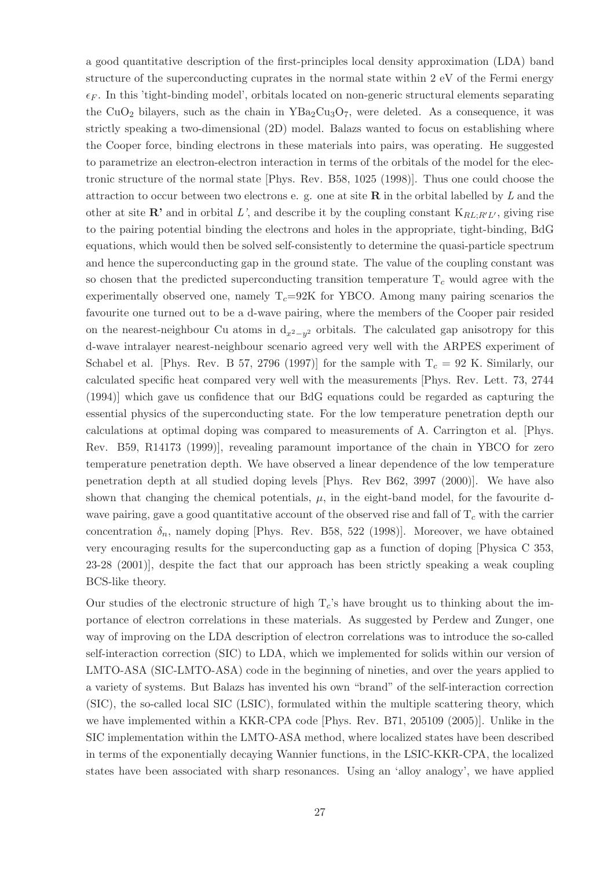a good quantitative description of the first-principles local density approximation (LDA) band structure of the superconducting cuprates in the normal state within 2 eV of the Fermi energy  $\epsilon_F$ . In this 'tight-binding model', orbitals located on non-generic structural elements separating the CuO<sub>2</sub> bilayers, such as the chain in  $YBa<sub>2</sub>Cu<sub>3</sub>O<sub>7</sub>$ , were deleted. As a consequence, it was strictly speaking a two-dimensional (2D) model. Balazs wanted to focus on establishing where the Cooper force, binding electrons in these materials into pairs, was operating. He suggested to parametrize an electron-electron interaction in terms of the orbitals of the model for the electronic structure of the normal state [Phys. Rev. B58, 1025 (1998)]. Thus one could choose the attraction to occur between two electrons e. g. one at site  **in the orbital labelled by**  $L$  **and the** other at site  $\mathbb{R}^3$  and in orbital L', and describe it by the coupling constant  $K_{RL;R'L'}$ , giving rise to the pairing potential binding the electrons and holes in the appropriate, tight-binding, BdG equations, which would then be solved self-consistently to determine the quasi-particle spectrum and hence the superconducting gap in the ground state. The value of the coupling constant was so chosen that the predicted superconducting transition temperature  $T_c$  would agree with the experimentally observed one, namely  $T_c=92K$  for YBCO. Among many pairing scenarios the favourite one turned out to be a d-wave pairing, where the members of the Cooper pair resided on the nearest-neighbour Cu atoms in  $d_{x^2-y^2}$  orbitals. The calculated gap anisotropy for this d-wave intralayer nearest-neighbour scenario agreed very well with the ARPES experiment of Schabel et al. [Phys. Rev. B 57, 2796 (1997)] for the sample with  $T_c = 92$  K. Similarly, our calculated specific heat compared very well with the measurements [Phys. Rev. Lett. 73, 2744 (1994)] which gave us confidence that our BdG equations could be regarded as capturing the essential physics of the superconducting state. For the low temperature penetration depth our calculations at optimal doping was compared to measurements of A. Carrington et al. [Phys. Rev. B59, R14173 (1999)], revealing paramount importance of the chain in YBCO for zero temperature penetration depth. We have observed a linear dependence of the low temperature penetration depth at all studied doping levels [Phys. Rev B62, 3997 (2000)]. We have also shown that changing the chemical potentials,  $\mu$ , in the eight-band model, for the favourite dwave pairing, gave a good quantitative account of the observed rise and fall of  $T_c$  with the carrier concentration  $\delta_n$ , namely doping [Phys. Rev. B58, 522 (1998)]. Moreover, we have obtained very encouraging results for the superconducting gap as a function of doping [Physica C 353, 23-28 (2001)], despite the fact that our approach has been strictly speaking a weak coupling BCS-like theory.

Our studies of the electronic structure of high  $T_c$ 's have brought us to thinking about the importance of electron correlations in these materials. As suggested by Perdew and Zunger, one way of improving on the LDA description of electron correlations was to introduce the so-called self-interaction correction (SIC) to LDA, which we implemented for solids within our version of LMTO-ASA (SIC-LMTO-ASA) code in the beginning of nineties, and over the years applied to a variety of systems. But Balazs has invented his own "brand" of the self-interaction correction (SIC), the so-called local SIC (LSIC), formulated within the multiple scattering theory, which we have implemented within a KKR-CPA code [Phys. Rev. B71, 205109 (2005)]. Unlike in the SIC implementation within the LMTO-ASA method, where localized states have been described in terms of the exponentially decaying Wannier functions, in the LSIC-KKR-CPA, the localized states have been associated with sharp resonances. Using an 'alloy analogy', we have applied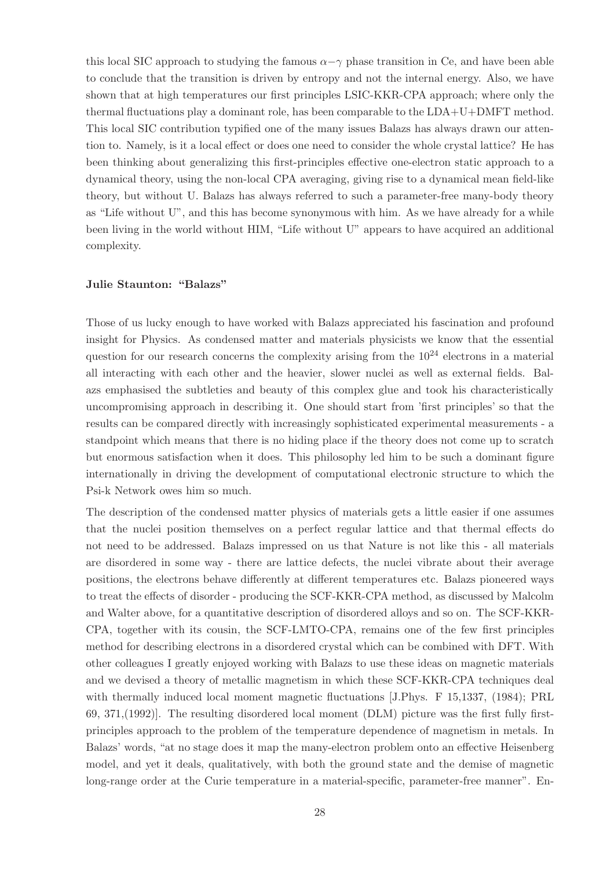this local SIC approach to studying the famous  $\alpha-\gamma$  phase transition in Ce, and have been able to conclude that the transition is driven by entropy and not the internal energy. Also, we have shown that at high temperatures our first principles LSIC-KKR-CPA approach; where only the thermal fluctuations play a dominant role, has been comparable to the  $LDA+U+DMFT$  method. This local SIC contribution typified one of the many issues Balazs has always drawn our attention to. Namely, is it a local effect or does one need to consider the whole crystal lattice? He has been thinking about generalizing this first-principles effective one-electron static approach to a dynamical theory, using the non-local CPA averaging, giving rise to a dynamical mean field-like theory, but without U. Balazs has always referred to such a parameter-free many-body theory as "Life without U", and this has become synonymous with him. As we have already for a while been living in the world without HIM, "Life without U" appears to have acquired an additional complexity.

### Julie Staunton: "Balazs"

Those of us lucky enough to have worked with Balazs appreciated his fascination and profound insight for Physics. As condensed matter and materials physicists we know that the essential question for our research concerns the complexity arising from the  $10^{24}$  electrons in a material all interacting with each other and the heavier, slower nuclei as well as external fields. Balazs emphasised the subtleties and beauty of this complex glue and took his characteristically uncompromising approach in describing it. One should start from 'first principles' so that the results can be compared directly with increasingly sophisticated experimental measurements - a standpoint which means that there is no hiding place if the theory does not come up to scratch but enormous satisfaction when it does. This philosophy led him to be such a dominant figure internationally in driving the development of computational electronic structure to which the Psi-k Network owes him so much.

The description of the condensed matter physics of materials gets a little easier if one assumes that the nuclei position themselves on a perfect regular lattice and that thermal effects do not need to be addressed. Balazs impressed on us that Nature is not like this - all materials are disordered in some way - there are lattice defects, the nuclei vibrate about their average positions, the electrons behave differently at different temperatures etc. Balazs pioneered ways to treat the effects of disorder - producing the SCF-KKR-CPA method, as discussed by Malcolm and Walter above, for a quantitative description of disordered alloys and so on. The SCF-KKR-CPA, together with its cousin, the SCF-LMTO-CPA, remains one of the few first principles method for describing electrons in a disordered crystal which can be combined with DFT. With other colleagues I greatly enjoyed working with Balazs to use these ideas on magnetic materials and we devised a theory of metallic magnetism in which these SCF-KKR-CPA techniques deal with thermally induced local moment magnetic fluctuations [J.Phys. F 15,1337, (1984); PRL 69, 371,(1992)]. The resulting disordered local moment (DLM) picture was the first fully firstprinciples approach to the problem of the temperature dependence of magnetism in metals. In Balazs' words, "at no stage does it map the many-electron problem onto an effective Heisenberg model, and yet it deals, qualitatively, with both the ground state and the demise of magnetic long-range order at the Curie temperature in a material-specific, parameter-free manner". En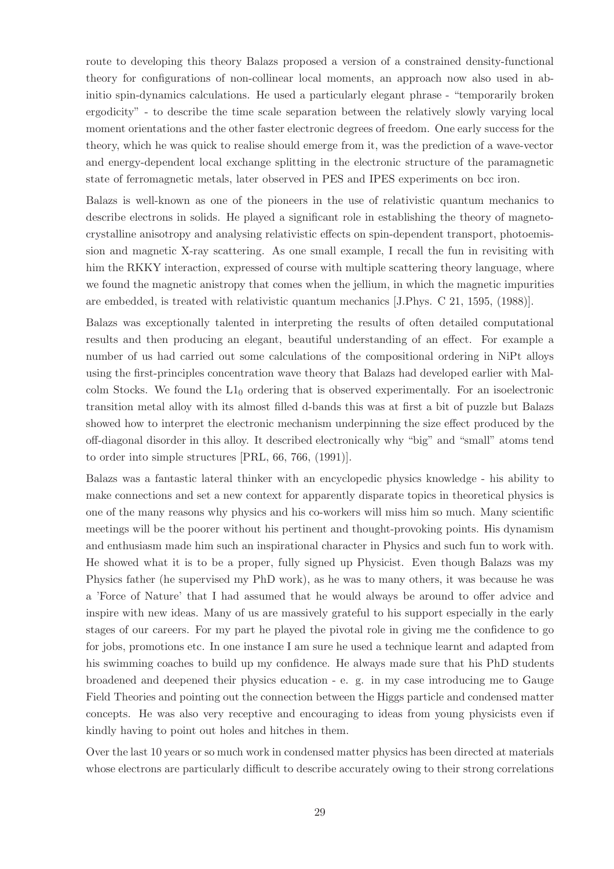route to developing this theory Balazs proposed a version of a constrained density-functional theory for configurations of non-collinear local moments, an approach now also used in abinitio spin-dynamics calculations. He used a particularly elegant phrase - "temporarily broken ergodicity" - to describe the time scale separation between the relatively slowly varying local moment orientations and the other faster electronic degrees of freedom. One early success for the theory, which he was quick to realise should emerge from it, was the prediction of a wave-vector and energy-dependent local exchange splitting in the electronic structure of the paramagnetic state of ferromagnetic metals, later observed in PES and IPES experiments on bcc iron.

Balazs is well-known as one of the pioneers in the use of relativistic quantum mechanics to describe electrons in solids. He played a significant role in establishing the theory of magnetocrystalline anisotropy and analysing relativistic effects on spin-dependent transport, photoemission and magnetic X-ray scattering. As one small example, I recall the fun in revisiting with him the RKKY interaction, expressed of course with multiple scattering theory language, where we found the magnetic anistropy that comes when the jellium, in which the magnetic impurities are embedded, is treated with relativistic quantum mechanics [J.Phys. C 21, 1595, (1988)].

Balazs was exceptionally talented in interpreting the results of often detailed computational results and then producing an elegant, beautiful understanding of an effect. For example a number of us had carried out some calculations of the compositional ordering in NiPt alloys using the first-principles concentration wave theory that Balazs had developed earlier with Malcolm Stocks. We found the  $L1_0$  ordering that is observed experimentally. For an isoelectronic transition metal alloy with its almost filled d-bands this was at first a bit of puzzle but Balazs showed how to interpret the electronic mechanism underpinning the size effect produced by the off-diagonal disorder in this alloy. It described electronically why "big" and "small" atoms tend to order into simple structures [PRL, 66, 766, (1991)].

Balazs was a fantastic lateral thinker with an encyclopedic physics knowledge - his ability to make connections and set a new context for apparently disparate topics in theoretical physics is one of the many reasons why physics and his co-workers will miss him so much. Many scientific meetings will be the poorer without his pertinent and thought-provoking points. His dynamism and enthusiasm made him such an inspirational character in Physics and such fun to work with. He showed what it is to be a proper, fully signed up Physicist. Even though Balazs was my Physics father (he supervised my PhD work), as he was to many others, it was because he was a 'Force of Nature' that I had assumed that he would always be around to offer advice and inspire with new ideas. Many of us are massively grateful to his support especially in the early stages of our careers. For my part he played the pivotal role in giving me the confidence to go for jobs, promotions etc. In one instance I am sure he used a technique learnt and adapted from his swimming coaches to build up my confidence. He always made sure that his PhD students broadened and deepened their physics education - e. g. in my case introducing me to Gauge Field Theories and pointing out the connection between the Higgs particle and condensed matter concepts. He was also very receptive and encouraging to ideas from young physicists even if kindly having to point out holes and hitches in them.

Over the last 10 years or so much work in condensed matter physics has been directed at materials whose electrons are particularly difficult to describe accurately owing to their strong correlations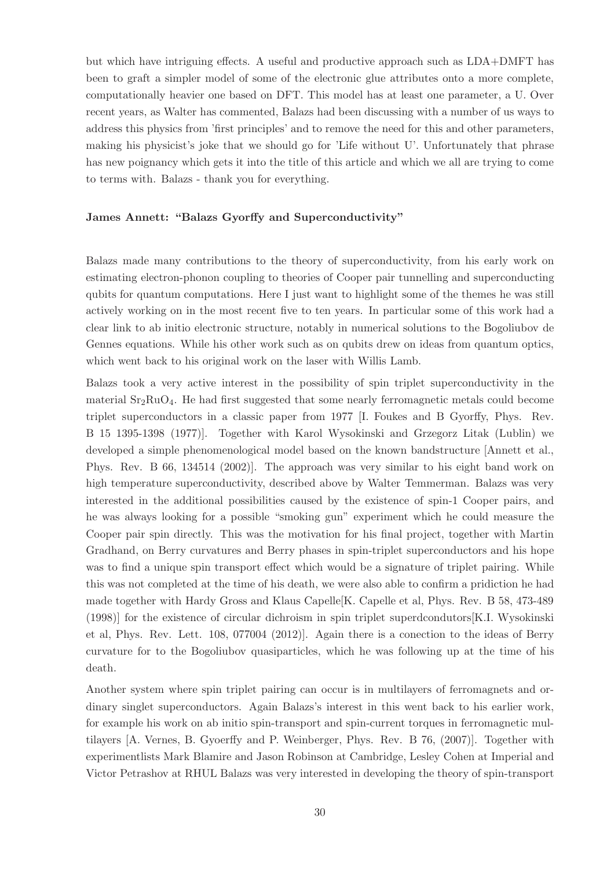but which have intriguing effects. A useful and productive approach such as LDA+DMFT has been to graft a simpler model of some of the electronic glue attributes onto a more complete, computationally heavier one based on DFT. This model has at least one parameter, a U. Over recent years, as Walter has commented, Balazs had been discussing with a number of us ways to address this physics from 'first principles' and to remove the need for this and other parameters, making his physicist's joke that we should go for 'Life without U'. Unfortunately that phrase has new poignancy which gets it into the title of this article and which we all are trying to come to terms with. Balazs - thank you for everything.

#### James Annett: "Balazs Gyorffy and Superconductivity"

Balazs made many contributions to the theory of superconductivity, from his early work on estimating electron-phonon coupling to theories of Cooper pair tunnelling and superconducting qubits for quantum computations. Here I just want to highlight some of the themes he was still actively working on in the most recent five to ten years. In particular some of this work had a clear link to ab initio electronic structure, notably in numerical solutions to the Bogoliubov de Gennes equations. While his other work such as on qubits drew on ideas from quantum optics, which went back to his original work on the laser with Willis Lamb.

Balazs took a very active interest in the possibility of spin triplet superconductivity in the material Sr2RuO4. He had first suggested that some nearly ferromagnetic metals could become triplet superconductors in a classic paper from 1977 [I. Foukes and B Gyorffy, Phys. Rev. B 15 1395-1398 (1977)]. Together with Karol Wysokinski and Grzegorz Litak (Lublin) we developed a simple phenomenological model based on the known bandstructure [Annett et al., Phys. Rev. B 66, 134514 (2002)]. The approach was very similar to his eight band work on high temperature superconductivity, described above by Walter Temmerman. Balazs was very interested in the additional possibilities caused by the existence of spin-1 Cooper pairs, and he was always looking for a possible "smoking gun" experiment which he could measure the Cooper pair spin directly. This was the motivation for his final project, together with Martin Gradhand, on Berry curvatures and Berry phases in spin-triplet superconductors and his hope was to find a unique spin transport effect which would be a signature of triplet pairing. While this was not completed at the time of his death, we were also able to confirm a pridiction he had made together with Hardy Gross and Klaus Capelle[K. Capelle et al, Phys. Rev. B 58, 473-489 (1998)] for the existence of circular dichroism in spin triplet superdcondutors[K.I. Wysokinski et al, Phys. Rev. Lett. 108, 077004 (2012)]. Again there is a conection to the ideas of Berry curvature for to the Bogoliubov quasiparticles, which he was following up at the time of his death.

Another system where spin triplet pairing can occur is in multilayers of ferromagnets and ordinary singlet superconductors. Again Balazs's interest in this went back to his earlier work, for example his work on ab initio spin-transport and spin-current torques in ferromagnetic multilayers [A. Vernes, B. Gyoerffy and P. Weinberger, Phys. Rev. B 76, (2007)]. Together with experimentlists Mark Blamire and Jason Robinson at Cambridge, Lesley Cohen at Imperial and Victor Petrashov at RHUL Balazs was very interested in developing the theory of spin-transport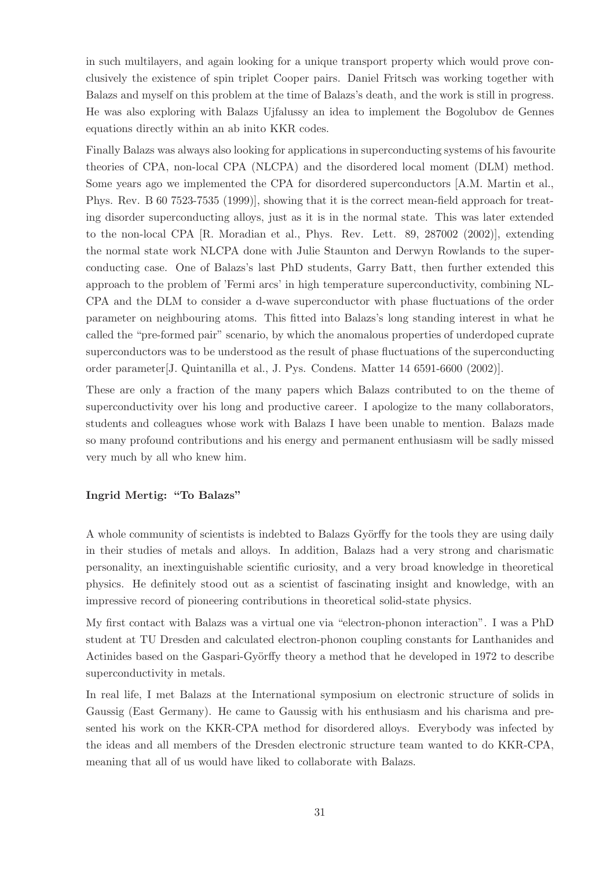in such multilayers, and again looking for a unique transport property which would prove conclusively the existence of spin triplet Cooper pairs. Daniel Fritsch was working together with Balazs and myself on this problem at the time of Balazs's death, and the work is still in progress. He was also exploring with Balazs Ujfalussy an idea to implement the Bogolubov de Gennes equations directly within an ab inito KKR codes.

Finally Balazs was always also looking for applications in superconducting systems of his favourite theories of CPA, non-local CPA (NLCPA) and the disordered local moment (DLM) method. Some years ago we implemented the CPA for disordered superconductors [A.M. Martin et al., Phys. Rev. B 60 7523-7535 (1999)], showing that it is the correct mean-field approach for treating disorder superconducting alloys, just as it is in the normal state. This was later extended to the non-local CPA [R. Moradian et al., Phys. Rev. Lett. 89, 287002 (2002)], extending the normal state work NLCPA done with Julie Staunton and Derwyn Rowlands to the superconducting case. One of Balazs's last PhD students, Garry Batt, then further extended this approach to the problem of 'Fermi arcs' in high temperature superconductivity, combining NL-CPA and the DLM to consider a d-wave superconductor with phase fluctuations of the order parameter on neighbouring atoms. This fitted into Balazs's long standing interest in what he called the "pre-formed pair" scenario, by which the anomalous properties of underdoped cuprate superconductors was to be understood as the result of phase fluctuations of the superconducting order parameter[J. Quintanilla et al., J. Pys. Condens. Matter 14 6591-6600 (2002)].

These are only a fraction of the many papers which Balazs contributed to on the theme of superconductivity over his long and productive career. I apologize to the many collaborators, students and colleagues whose work with Balazs I have been unable to mention. Balazs made so many profound contributions and his energy and permanent enthusiasm will be sadly missed very much by all who knew him.

### Ingrid Mertig: "To Balazs"

A whole community of scientists is indebted to Balazs Györffy for the tools they are using daily in their studies of metals and alloys. In addition, Balazs had a very strong and charismatic personality, an inextinguishable scientific curiosity, and a very broad knowledge in theoretical physics. He definitely stood out as a scientist of fascinating insight and knowledge, with an impressive record of pioneering contributions in theoretical solid-state physics.

My first contact with Balazs was a virtual one via "electron-phonon interaction". I was a PhD student at TU Dresden and calculated electron-phonon coupling constants for Lanthanides and Actinides based on the Gaspari-Györffy theory a method that he developed in 1972 to describe superconductivity in metals.

In real life, I met Balazs at the International symposium on electronic structure of solids in Gaussig (East Germany). He came to Gaussig with his enthusiasm and his charisma and presented his work on the KKR-CPA method for disordered alloys. Everybody was infected by the ideas and all members of the Dresden electronic structure team wanted to do KKR-CPA, meaning that all of us would have liked to collaborate with Balazs.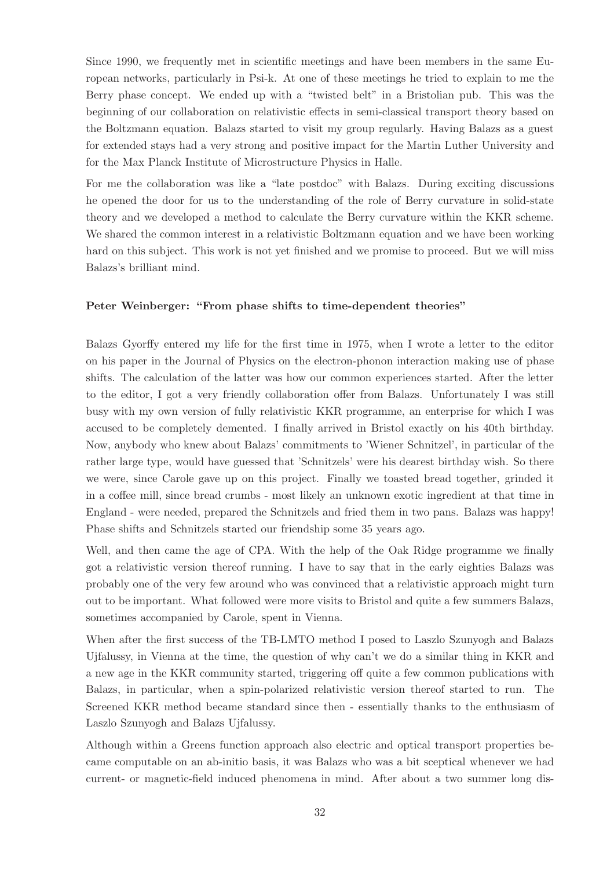Since 1990, we frequently met in scientific meetings and have been members in the same European networks, particularly in Psi-k. At one of these meetings he tried to explain to me the Berry phase concept. We ended up with a "twisted belt" in a Bristolian pub. This was the beginning of our collaboration on relativistic effects in semi-classical transport theory based on the Boltzmann equation. Balazs started to visit my group regularly. Having Balazs as a guest for extended stays had a very strong and positive impact for the Martin Luther University and for the Max Planck Institute of Microstructure Physics in Halle.

For me the collaboration was like a "late postdoc" with Balazs. During exciting discussions he opened the door for us to the understanding of the role of Berry curvature in solid-state theory and we developed a method to calculate the Berry curvature within the KKR scheme. We shared the common interest in a relativistic Boltzmann equation and we have been working hard on this subject. This work is not yet finished and we promise to proceed. But we will miss Balazs's brilliant mind.

#### Peter Weinberger: "From phase shifts to time-dependent theories"

Balazs Gyorffy entered my life for the first time in 1975, when I wrote a letter to the editor on his paper in the Journal of Physics on the electron-phonon interaction making use of phase shifts. The calculation of the latter was how our common experiences started. After the letter to the editor, I got a very friendly collaboration offer from Balazs. Unfortunately I was still busy with my own version of fully relativistic KKR programme, an enterprise for which I was accused to be completely demented. I finally arrived in Bristol exactly on his 40th birthday. Now, anybody who knew about Balazs' commitments to 'Wiener Schnitzel', in particular of the rather large type, would have guessed that 'Schnitzels' were his dearest birthday wish. So there we were, since Carole gave up on this project. Finally we toasted bread together, grinded it in a coffee mill, since bread crumbs - most likely an unknown exotic ingredient at that time in England - were needed, prepared the Schnitzels and fried them in two pans. Balazs was happy! Phase shifts and Schnitzels started our friendship some 35 years ago.

Well, and then came the age of CPA. With the help of the Oak Ridge programme we finally got a relativistic version thereof running. I have to say that in the early eighties Balazs was probably one of the very few around who was convinced that a relativistic approach might turn out to be important. What followed were more visits to Bristol and quite a few summers Balazs, sometimes accompanied by Carole, spent in Vienna.

When after the first success of the TB-LMTO method I posed to Laszlo Szunyogh and Balazs Ujfalussy, in Vienna at the time, the question of why can't we do a similar thing in KKR and a new age in the KKR community started, triggering off quite a few common publications with Balazs, in particular, when a spin-polarized relativistic version thereof started to run. The Screened KKR method became standard since then - essentially thanks to the enthusiasm of Laszlo Szunyogh and Balazs Ujfalussy.

Although within a Greens function approach also electric and optical transport properties became computable on an ab-initio basis, it was Balazs who was a bit sceptical whenever we had current- or magnetic-field induced phenomena in mind. After about a two summer long dis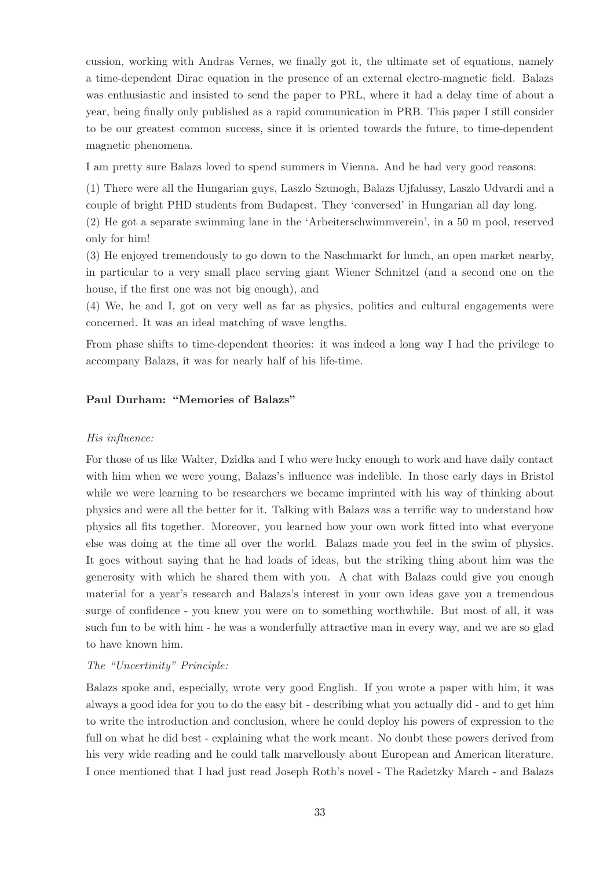cussion, working with Andras Vernes, we finally got it, the ultimate set of equations, namely a time-dependent Dirac equation in the presence of an external electro-magnetic field. Balazs was enthusiastic and insisted to send the paper to PRL, where it had a delay time of about a year, being finally only published as a rapid communication in PRB. This paper I still consider to be our greatest common success, since it is oriented towards the future, to time-dependent magnetic phenomena.

I am pretty sure Balazs loved to spend summers in Vienna. And he had very good reasons:

(1) There were all the Hungarian guys, Laszlo Szunogh, Balazs Ujfalussy, Laszlo Udvardi and a couple of bright PHD students from Budapest. They 'conversed' in Hungarian all day long.

(2) He got a separate swimming lane in the 'Arbeiterschwimmverein', in a 50 m pool, reserved only for him!

(3) He enjoyed tremendously to go down to the Naschmarkt for lunch, an open market nearby, in particular to a very small place serving giant Wiener Schnitzel (and a second one on the house, if the first one was not big enough), and

(4) We, he and I, got on very well as far as physics, politics and cultural engagements were concerned. It was an ideal matching of wave lengths.

From phase shifts to time-dependent theories: it was indeed a long way I had the privilege to accompany Balazs, it was for nearly half of his life-time.

#### Paul Durham: "Memories of Balazs"

### His influence:

For those of us like Walter, Dzidka and I who were lucky enough to work and have daily contact with him when we were young, Balazs's influence was indelible. In those early days in Bristol while we were learning to be researchers we became imprinted with his way of thinking about physics and were all the better for it. Talking with Balazs was a terrific way to understand how physics all fits together. Moreover, you learned how your own work fitted into what everyone else was doing at the time all over the world. Balazs made you feel in the swim of physics. It goes without saying that he had loads of ideas, but the striking thing about him was the generosity with which he shared them with you. A chat with Balazs could give you enough material for a year's research and Balazs's interest in your own ideas gave you a tremendous surge of confidence - you knew you were on to something worthwhile. But most of all, it was such fun to be with him - he was a wonderfully attractive man in every way, and we are so glad to have known him.

### The "Uncertinity" Principle:

Balazs spoke and, especially, wrote very good English. If you wrote a paper with him, it was always a good idea for you to do the easy bit - describing what you actually did - and to get him to write the introduction and conclusion, where he could deploy his powers of expression to the full on what he did best - explaining what the work meant. No doubt these powers derived from his very wide reading and he could talk marvellously about European and American literature. I once mentioned that I had just read Joseph Roth's novel - The Radetzky March - and Balazs